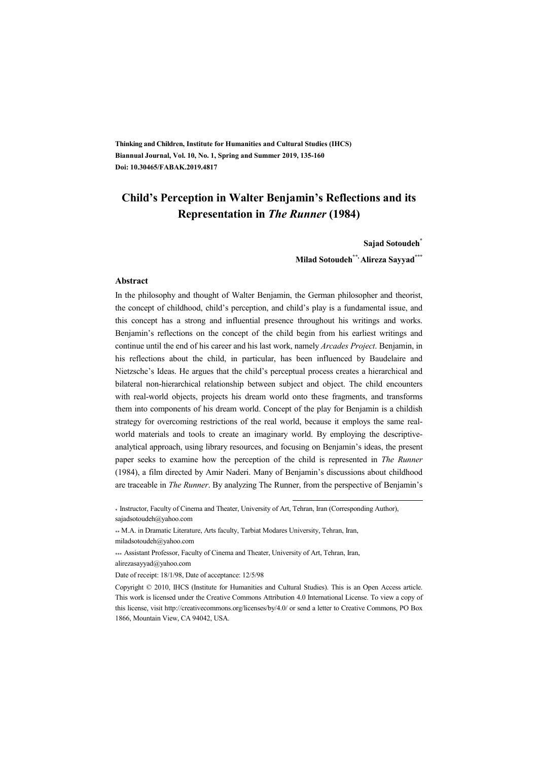**Thinking and Children, Institute for Humanities and Cultural Studies (IHCS) Biannual Journal, Vol. 10, No. 1, Spring and Summer 2019, 135-160 Doi: 10.30465/FABAK.2019.4817** 

### **Child's Perception in Walter Benjamin's Reflections and its Representation in** *The Runner* **(1984)**

#### **Sajad Sotoudeh\***

**Milad Sotoudeh\*\*, Alireza Sayyad\*\*\***

#### **Abstract**

In the philosophy and thought of Walter Benjamin, the German philosopher and theorist, the concept of childhood, child's perception, and child's play is a fundamental issue, and this concept has a strong and influential presence throughout his writings and works. Benjamin's reflections on the concept of the child begin from his earliest writings and continue until the end of his career and his last work, namely *Arcades Project*. Benjamin, in his reflections about the child, in particular, has been influenced by Baudelaire and Nietzsche's Ideas. He argues that the child's perceptual process creates a hierarchical and bilateral non-hierarchical relationship between subject and object. The child encounters with real-world objects, projects his dream world onto these fragments, and transforms them into components of his dream world. Concept of the play for Benjamin is a childish strategy for overcoming restrictions of the real world, because it employs the same realworld materials and tools to create an imaginary world. By employing the descriptiveanalytical approach, using library resources, and focusing on Benjamin's ideas, the present paper seeks to examine how the perception of the child is represented in *The Runner* (1984), a film directed by Amir Naderi. Many of Benjamin's discussions about childhood are traceable in *The Runner*. By analyzing The Runner, from the perspective of Benjamin's

:

alirezasayyad@yahoo.com

<sup>\*</sup> Instructor, Faculty of Cinema and Theater, University of Art, Tehran, Iran (Corresponding Author), sajadsotoudeh@yahoo.com

<sup>\*\*</sup> M.A. in Dramatic Literature, Arts faculty, Tarbiat Modares University, Tehran, Iran, miladsotoudeh@yahoo.com

<sup>\*\*\*</sup> Assistant Professor, Faculty of Cinema and Theater, University of Art, Tehran, Iran,

Date of receipt: 18/1/98, Date of acceptance: 12/5/98

Copyright © 2010, IHCS (Institute for Humanities and Cultural Studies). This is an Open Access article. This work is licensed under the Creative Commons Attribution 4.0 International License. To view a copy of this license, visit http://creativecommons.org/licenses/by/4.0/ or send a letter to Creative Commons, PO Box 1866, Mountain View, CA 94042, USA.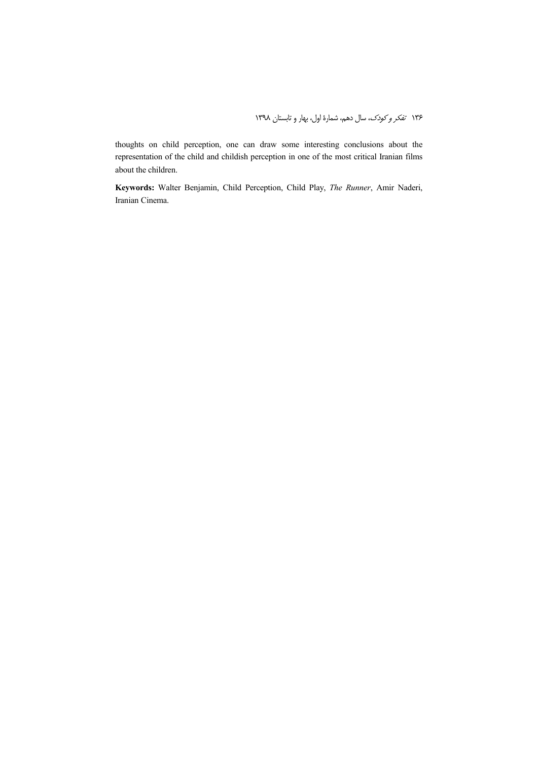thoughts on child perception, one can draw some interesting conclusions about the representation of the child and childish perception in one of the most critical Iranian films about the children.

**Keywords:** Walter Benjamin, Child Perception, Child Play, *The Runner*, Amir Naderi, Iranian Cinema.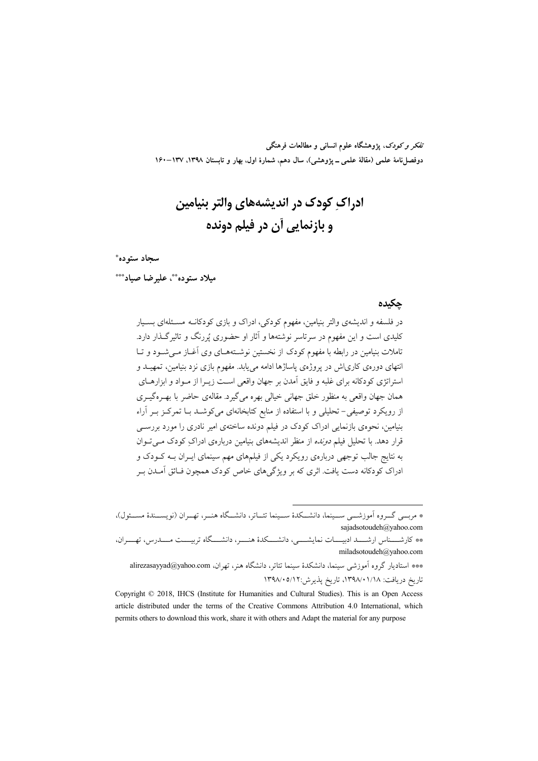تفکر و کودک، یژوهشگاه علوم انسانی و مطالعات فرهنگی دوفصلiامهٔ علمی (مقالهٔ علمی ــ پژوهشی)، سال دهم، شمارهٔ اول، بهار و تابستان ۱۳۹۸، ۱۳۷–۱۶۰

# ادراک کودک در اندیشههای والتر بنیامین و بازنمایی آن در فیلم دونده

#### سجاد ستوده\*

ميلاد ستوده \*\*، عليرضا صياد\*\*\*

#### حكىدە

در فلسفه و اندیشهی والتر بنیامین، مفهوم کودکی، ادراک و بازی کودکانــه مسـئلهای بســبار کلیدی است و این مفهوم در سرتاسر نوشتهها و آثار او حضوری پُررنگ و تاثیر گــذار دارد. تاملات بنیامین در رابطه با مفهوم کودک از نخستین نوشـتههـای وی آغــاز مــی شــود و تــا انتهای دورهی کاریاش در پروژهی پاساژها ادامه می پابد. مفهوم بازی نزد بنیامین، تمهیــد و استراتژی کودکانه برای غلبه و فایق آمدن بر جهان واقعی است زیـرا از مـواد و ابزارهـای همان جهان واقعی به منظور خلق جهانی خیالی بهره میگیرد. مقالهی حاضر با بهـرهگیــری از رویکرد توصیفی– تحلیلی و با استفاده از منابع کتابخانهای میکوشـد بــا تمرکـز بــر آراء بنیامین، نحوهی بازنمایی ادراک کودک در فیلم دونده ساختهی امیر نادری را مورد بررســی قرار دهد. با تحلیل فیلم *دونده* از منظر اندیشههای بنیامین دربارهی ادراک کودک مے توان به نتایج جالب توجهی دربارهی رویکرد یکی از فیلمهای مهم سینمای ایـران بـه کــودک و ادراک کو دکانه دست یافت. اثری که بر ویژگی های خاص کو دک همچون فـائق آمــدن بــر

\* مربسی گــروه اَموزشـــی ســـینما، دانشـــکدهٔ ســـینما تئــاتر، دانشـــگاه هنــر، تهــران (نویســـندهٔ مســئول)، sajadsotoudeh@yahoo.com

\* كارشــــناس ارشــــد ادبيــــات نمايشـــــى، دانشــــكدۀ هنــــر، دانشــــگاه تربيــــت مــــدرس، تهــــران، miladsotoudeh@yahoo.com

\*\*\* استادیار گروه آموزشی سینما، دانشکدهٔ سینما تئاتر، دانشگاه هنر، تهران، alirezasayyad@yahoo.com تاريخ دريافت: ١٣٩٨/٠١/١٨، تاريخ يذير ش:٥/١٢/٠٥/١٢

Copyright © 2018, IHCS (Institute for Humanities and Cultural Studies). This is an Open Access article distributed under the terms of the Creative Commons Attribution 4.0 International, which permits others to download this work, share it with others and Adapt the material for any purpose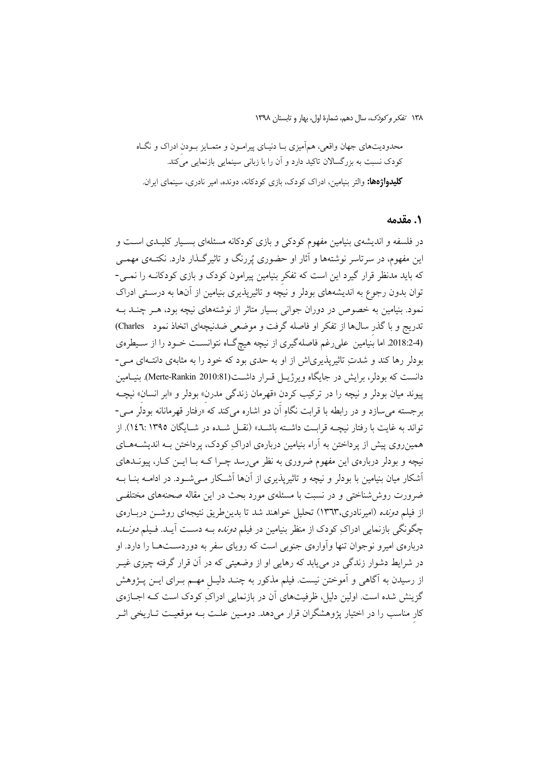١٣٨ تفكر وكودك، سال دهم، شمارة اول، بهار و تابستان ١٣٩٨

محدودیتهای جهان واقعی، همآمیزی بـا دنیـای پیرامـون و متمـایز بـودن ادراک و نگـاه کودک نسبت به بزرگسالان تاکید دارد و آن را با زبانی سینمایی بازنمایی میکند. **کلیدواژهها:** والتر بنیامین، ادراک کودک، بازی کودکانه، دونده، امیر نادری، سینمای ایران.

#### ٠. مقدمه

در فلسفه و اندیشهی بنیامین مفهوم کودکی و بازی کودکانه مسئلهای بسـیار کلیـدی اسـت و این مفهوم، در سرتاسر نوشتهها و آثار او حضوری پُررنگ و تاثیرگـذار دارد. نکتــهی مهمــی که باید مدنظر قرار گیرد این است که تفکر بنیامین پیرامون کودک و بازی کودکانـه را نمـی-توان بدون رجوع به اندیشههای بودلر و نیچه و تاثیرپذیری بنیامین از آنها به درستی ادراک نمود. بنیامین به خصوص در دوران جوانی بسیار متاثر از نوشتههای نیچه بود، هـر چنــد بــه تدریج و با گذر سالها از تفکر او فاصله گرفت و موضعی ضدنیچهای اتخاذ نمود Charles) (2018:24. اما بُنيامين على رغم فاصله گيري از نيچه هيچگـاه نتوانسـت خـود را از سـيطرهي بودلر رها کند و شدتِ تاثیرپذیری(ش از او به حدی بود که خود را به مثابهی دانتـهای مـی-دانست که بودلر، برایش در جایگاه ویرژیــل قــرار داشـــت(Merte-Rankin 2010:81). بنیــامین پيوند ميان بودلر و نيچه را در تركيب كردن «قهرمان زندگي مدرن» بودلر و «ابر انسان» نيچــه بر جسته می سازد و در رابطه با قرابت نگاه اَن دو اشاره می کند که ْ«رفتار قهرمانانه بودلر مــی-تواند به غايت با رفتار نيچــه قرابـت داشــته باشــد» (نقــل شــده در شــايگان ١٣٩٥:١٤٦). از همینروی پیش از پرداختن به آراء بنیامین دربارهی ادراکِ کودک، پرداختن بـه اندیشــههــای نیچه و بودلر دربارهی این مفهوم ضروری به نظر می رسد چـرا کــه بــا ایـــن کــار، پیونــدهای أشكار ميان بنيامين با بودلر و نيچه و تاثيريذيري از آنها أشـكار مـي شــود. در ادامــه بنــا بــه ضرورت روششناختی و در نسبت با مسئلهی مورد بحث در این مقاله صحنههای مختلفی از فیلم *دونده* (امیرنادری،۱۳٦۳) تحلیل خواهند شد تا بدین طریق نتیجهای روشــن دربـارهی چگونگی بازنمایی ادراکِ کودک از منظر بنیامین در فیلم *دونده* بـه دسـت آیــد. فـیلم *دونــده* دربارهی امیرو نوجوان تنها وأوارهی جنوبی است که رویای سفر به دوردسـتهـا را دارد. او در شرایط دشوار زندگی در می یابد که رهایی او از وضعیتی که در آن قرار گرفته چیزی غیـر از رسیدن به آگاهی و آموختن نیست. فیلم مذکور به چنـد دلیـل مهـم بـرای ایــن پــژوهش گزینش شده است. اولین دلیل، ظرفیتهای آن در بازنمایی ادراکِ کودک است کـه اجــازهی کار مناسب را در اختیار پژوهشگران قرار میدهد. دومـین علـت بـه موقعیـت تـاریخی اثـر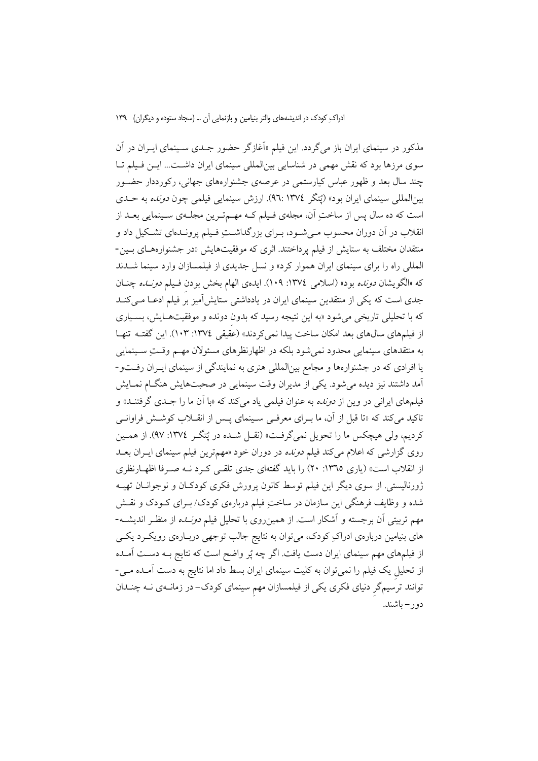مذکور در سینمای ایران باز میگردد. این فیلم «اَغازگر حضور جـدی سـینمای ایـران در اَن سوی مرزها بود که نقش مهمی در شناسایی بینالمللی سینمای ایران داشت... ایــن فـیلم تــا چند سال بعد و ظهور عباس کیارستمی در عرصهی جشنوارههای جهانی، رکورددار حضــور بینالمللی سینمای ایران بود» (یُتگر ١٣٧٤).ارزش سینمایی فیلمی چون *دونده* به حـدی است که ده سال پس از ساختِ آن، مجلهي فـيلم کـه مهـمتـرين مجلـهي سـينمايي بعـد از انقلاب در آن دوران محسوب مبي شــود، بــراي بزرگداشــت فــيلم پرونــدهاي تشــكيل داد و منتقدان مختلف به ستایش از فیلم پرداختند. اثری که موفقیتهایش «در جشنوارههـای بـین-المللی راه را برای سینمای ایران هموار کرد» و نسل جدیدی از فیلمسازان وارد سینما شــدند كه «الكويشان *دونده* بود» (اسلامى ١٣٧٤: ١٠٩). ايدهى الهام بخش بودن فـيلم *دونـده* چنــان جدی است که یکی از منتقدین سینمای ایران در یادداشتی ستایش آمیز بر فیلم ادعـا مـیکنـد که با تحلیلی تاریخی می شود «به این نتیجه رسید که بدون دونده و موفقیتهـایش، بسـیاری از فیلمهای سالهای بعد امکان ساخت پیدا نمی کردند» (عقیقی ١٣٧٤: ١٠٣). این گفتـه تنهـا به منتقدهای سینمایی محدود نمی شود بلکه در اظهارنظرهای مسئولان مهــم وقــتِ ســینمایی یا افرادی که در جشنوارهها و مجامع بینالمللی هنری به نمایندگی از سینمای ایـران رفـتو-آمد داشتند نیز دیده می شود. یکی از مدیران وقت سینمایی در صحبتهایش هنگــام نمــایش فیلمهای ایرانی در وین از *دونده* به عنوان فیلمی یاد میکند که «با آن ما را جـدی گرفتنـد» و تاکید میکند که «تا قبل از آن، ما بـرای معرفـی سـینمای پـس از انقــلاب کوشــش فراوانــی كرديم، ولي هيچكس ما را تحويل نمي گرفت» (نقـل شـده در يُتگـر ١٣٧٤: ٩٧). از همـين روی گزارشی که اعلام می کند فیلم *دونده* در دوران خود «مهمترین فیلم سینمای ایـران بعــد از انقلاب است» (یاری ١٣٦٥: ٢٠) را باید گفتهای جدی تلقبی کرد نـه صـرفا اظهـارنظری ژورنالیستی. از سوی دیگر این فیلم توسط کانون پرورش فکری کودکـان و نوجوانــان تهیــه شده و وظایف فرهنگی این سازمان در ساختِ فیلم دربارهی کودک/ بـرای کـودک و نقـش مهم تربیتی آن برجسته و آشکار است. از همین روی با تحلیل فیلم *دونــده* از منظـر اندیشــه-های بنیامین دربارهی ادراکِ کودک، میتوان به نتایج جالب توجهی دربـارهی رویکـرد یکـی از فیلمهای مهم سینمای ایران دست یافت. اگر چه پُر واضح است که نتایج بـه دســت آمــده از تحلیل یک فیلم را نمیتوان به کلیت سینمای ایران بسط داد اما نتایج به دست آمـده مـی-توانند ترسیمگر دنیای فکری یکی از فیلمسازان مهم سینمای کودک-در زمانــهی نــه چنــدان دو ر – باشند.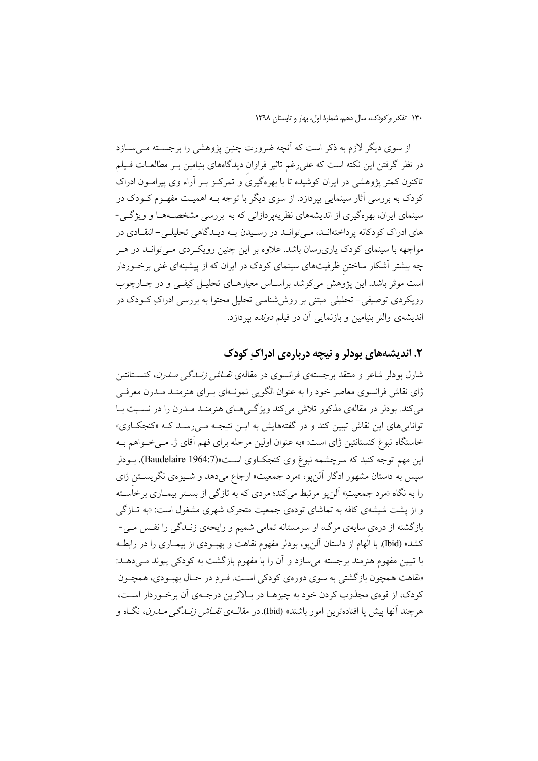از سوی دیگر لازم به ذکر است که آنچه ضرورت چنین پژوهشی را برجسـته مــیســازد در نظر گرفتن این نکته است که علی رغم تاثیر فراوان دیدگاههای بنیامین بـر مطالعــات فـیلم تاکنون کمتر یژوهشی در ایران کوشیده تا با بهرهگیری و تمرکـز بــر آراء وی پیرامــون ادراک کودک به بررسی آثار سینمایی بیردازد. از سوی دیگر با توجه بـه اهمیـت مفهـوم کـودک در سینمای ایران، بهرهگیری از اندیشههای نظریهپردازانی که به بررسی مشخصـههـا و ویژگـی-های ادراک کو دکانه پر داختهانـد، مـی توانـد در رسـیدن بـه دیـدگاهی تحلیلـی – انتقــادی در مواجهه با سینمای کودک یاریرسان باشد. علاوه بر این چنین رویک ردی مـی توانــد در هــر چه بیشتر آشکار ساختن ظرفیتهای سینمای کودک در ایران که از پیشینهای غنی برخـوردار است موثر باشد. این پژوهش میکوشد براسـاس معیارهـای تحلیـل کیفـی و در چـارچوب رویکردی توصیفی–تحلیلی مبتنی بر روششناسی تحلیل محتوا به بررسی ادراکِ کـودک در اندیشهی والتر بنیامین و بازنمایی آن در فیلم *دونده* بپردازد.

### ۲. اندیشههای بودلر و نیچه دربارهی ادراک کودک

شارل بودلر شاعر و منتقد برجستهی فرانسوی در مقالهی *نقـاش زنــاگـی مــارن*، کنســتانتین ژای نقاش فرانسوی معاصر خود را به عنوان الگویی نمونـهای پـرای هنرمنـد مـدرن معرفـی می کند. بودلر در مقالهی مذکور تلاش می کند ویژگی های هنرمنـد مـدرن را در نسـبت بـا توانایی های این نقاش تببین کند و در گفتههایش به ایــن نتیجــه مــی رســد کــه «کنجکــاوی» خاستگاه نبوغ کنستانتین ژای است: «به عنوان اولین مرحله برای فهم آقای ژ. مـی خـواهم بـه این مهم توجه کنید که سرچشمه نبوغ وی کنجک|وی اسـت»(Baudelaire 1964:7). بــودلر سپس به داستان مشهور ادگار آلن<sub>ب</sub>و، «مرد جمعیت» ارجاع میدهد و شـیوهی نگریســتن ژای را به نگاه «مرد جمعیتِ» آلنٖپو مرتبط میکند؛ مردی که به تازگی از بســتر بیمــاری برخاَســته و از پشت شیشهی کافه به تماشای تودهی جمعیت متحرک شهری مشغول است: «به تــازگی بازگشته از درهی سایهی مرگ، او سرمستانه تمامی شمیم و رایحهی زنـدگی را نفـس مـی-کشد» (Ibid). با الهام از داستان آلن یو، بودلر مفهوم نقاهت و بهبــودی از بیمــاری را در رابطــه با تبیین مفهوم هنرمند برجسته می سازد و آن را با مفهوم بازگشت به کودکی پیوند مـی دهـد: «نقاهت همچون بازگشتی به سوی دورهی کودکی است. فـرد در حـال بهبـودی، همچـون كودك، از قوهي مجذوب كردن خود به چيزهـا در بـالاترين درجـهي أن برخـوردار اسـت، هرچند آنها پیش یا افتادهترین امور باشند» (Ibid) در مقالــهی *نقــاش زنـــدگی مــدرن*، نگــاه و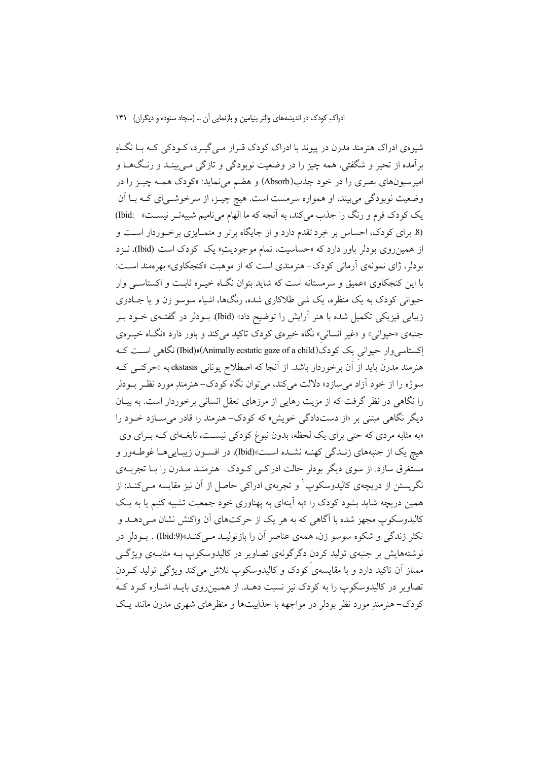شیوهی ادراک هنرمند مدرن در پیوند با ادراک کودک قـرار مـیگیـرد، کـودکی کـه بـا نگـاهِ برآمده از تحیر و شگفتی، همه چیز را در وضعیت نوبودگی و تازگی مـی،پینـد و رنـگ۱هـا و امپرسیونهای بصری را در خود جذب(Absorb) و هضم می نماید: «کودک همـه چیـز را در وضعیت نوبودگی میبیند، او همواره سرمست است. هیچ چیــز، از سرخوشــیای کــه بــا آن یک کودک فرم و رنگ را جذب می کند، به آنجه که ما الهام می نامیم شبیهتر نیست» :bid) (8. برای کودک، احساس بر خِرد تقدم دارد و از جایگاه برتر و متمـایزی برخـوردار اسـت و از همینروی بودلر باور دارد که «حساسیت، تمام موجودیتِ» یک کودک است (Ibid). نــزد بودلر، ژای نمونهی آرمانی کودک-هنرمندی است که از موهبت «کنجکاوی» بهرهمند اسـت: با این کنجکاوی «عمیق و سرمستانه است که شاید بتوان نگIه خیـره ثابـت و اکستاسـبی وار حیوانی کودک به یک منظره، یک شی طلاکاری شده، رنگها، اشیاء سوسو زن و یا جـادوی زیبایی فیزیکی تکمیل شده با هنر آرایش را توضیح داد» (Ibid) بودلر در گفتهی خـود بـر جنبهی «حیوانی» و «غیر انسانی» نگاه خیرهی کودک تاکید میکند و باور دارد «نگاه خیـرهی اکستاسی وار حیوانی یک کو دک(Animally ecstatic gaze of a child)»(Did) نگاهی است ک هنرمند مدرن باید از آن برخوردار باشد. از آنجا که اصطلاح یونانی ekstasis به «حرکتــی کــه سوژه را از خود آزاد می سازد» دلالت می کند، می توان نگاه کودک–هنرمندِ مورد نظـر بــودلر را نگاهی در نظر گرفت که از مزیت رهایی از مرزهای تعقل انسانی برخوردار است. به بیـان دیگر نگاهی مبتنی بر «از دستدادگی خویش» که کودک-هنرمند را قادر می سـازد خــود را «به مثابه مردی که حتی برای یک لحظه، بدون نبوغ کودکی نیسـت، نابغــهای کــه بــرای وی هيچ يک از جنبههاي زنـدگي کهنــه نشــده اســت»(Ibid)ه در افســون زيبــايي هــا غوطــهور و مستغرق سازد. از سوی دیگر بودلر حالت ادراکـی کـودک- هنرمنـد مـدرن را بـا تجربــهی نگریستن از دریچەی کالیدوسکوپ ٰ و تجربەی ادراکی حاصل از آن نیز مقایسه مـیکنـد: از همین دریچه شاید بشود کودک را «به آینهای به یهناوری خود جمعیت تشبیه کنیم یا به یک کالیدوسکوپ مجھز شدہ با آگاہی که به هر یک از حرکتهای آن واکنش نشان مے دهــد و تکثر زندگی و شکوه سوسو زن، همهی عناصر آن را بازتولیـد مـیکنـد»(9:Ibid) . بــودلر در نوشتههایش بر جنبهی تولید کردن دگرگونهی تصاویر در کالیدوسکوپ بـه مثابـهی ویژگـی ممتاز اّن تاکید دارد و با مقایسهی کودک و کالیدوسکوپ تلاش می کند ویژگی تولید که دن تصاویر در کالیدوسکوپ را به کودک نیز نسبت دهـد. از همـین(وی بایـد اشـاره کـرد کـه کودک–هنرمندِ مورد نظر بودلر در مواجهه با جذابیتها و منظرِهای شهری مدرنِ مانند یـک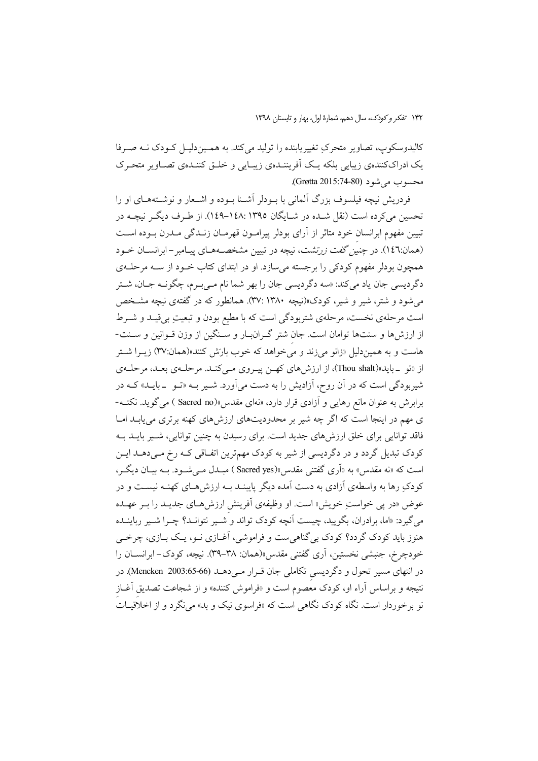کالیدوسکوپ، تصاویر متحرکِ تغییریابنده را تولید میکند. به همـیندلیـل کـودک نــه صـرفا یک ادراککنندهی زیبایی بلکه یـک اَفریننـدهی زیبـایی و خلـق کننـدهی تصـاویر متحـرک محسوب می شو د (Grøtta 2015:74-80).

فردریش نیچه فیلسوف بزرگ آلمانی با بـودلر آشـنا بـوده و اشـعار و نوشـتههـای او را تحسین می کرده است (نقل شـده در شـایگان ۱۳۹۵:۱۳۹۵–۱٤۸). از طـرف دیگـر نیچـه در تبیین مفهوم ابرانسان خود متاثر از آرای بودلر پیرامـون قهرمـان زنــدگی مــدرن بــوده اســت (همان:١٤٦). در چنیز گفت زرتشت، نیچه در تبیین مشخصـههـای پیـامبر – ابرانســان خــود همچون بودلر مفهوم کودکی را برجسته می سازد. او در ابتدای کتاب خــود از ســه مرحلــهی دگرديسي جان ياد مي کند: «سه دگرديسي جان را بهر شما نام مـي بـرم، چگونــه جــان، شــتر می شود و شتر، شیر و شیر، کودک»(نیچه ۱۳۸۰ :۳۷). همانطور که در گفتهی نیچه مشـخص است مرحلهی نخست، مرحلهی شتربودگی است که با مطیع بودن و تبعیتِ بیقیـد و شـرط از ارزشها و سنتها توامان است. جان شتر گـرانبـار و سـنگین از وزن قـوانین و سـنت-هاست و به همیندلیل «زانو میزند و می خواهد که خوب بارَش کنند»(همان:۳۷) زیــرا شــتر از «تو \_بايد»(Thou shalt)، از ارزش هاي كهـن پيـروي مـيكنـد. مرحلـهي بعـد، مرحلـهي شیربودگی است که در آن روح، آزادیش را به دست میآورد. شــیر بــه «تــو ــ بایــد» کــه در برابرش به عنوان مانع رهایی و آزادی قرار دارد، «نهای مقدس»(Sacred no ) می گوید. نکتـه-ی مهم در اینجا است که اگر چه شیر بر محدودیتهای ارزشهای کهنه برتری می یابـد امـا فاقد توانایی برای خلق ارزشهای جدید است. برای رسیدن به چنین توانایی، شـیر بایــد بــه کودک تبدیل گردد و در دگردیسی از شیر به کودک مهمترین اتفـاقی کـه رخ مـی دهــد ایــن است که «نه مقدس» به «اَری گفتنی مقدس»(Sacred yes ) مبـدل مـی شـود. بــه بیـان دیگـر، کودکِ رها به واسطهی اَزادی به دست اَمده دیگر پایبنــد بــه ارزش۵حـای کهنــه نیســت و در عوض «در پی خواستِ خویش» است. او وظیفهی آفرینش ارزشهـای جدیـد را بـر عهـده میگیرد: «اما، برادران، بگویید، چیست آنچه کودک تواند و ُشــیر نتوانــد؟ چــرا شــیر رباینــده هنوز باید کودک گردد؟ کودک بی گناهیست و فراموشی، آغـازی نــو، یــک بــازی، چرخــی خودچرخ، جنبشی نخستین، اَری گفتنی مقدس»(همان: ۳۸–۳۹). نیچه، کودک– ابرانســان را در انتهای مسیر تحول و دگردیسی تکاملی جان قـرار مـیدهـد (66-65:2003 Mencken). در نتیجه و براساس آراء او، کودک معصوم است و «فراموش کننده» و از شجاعت تصدیق آغـاز نو برخوردار است. نگاه کودک نگاه<sub>ی</sub> است که «فراسوی نیک و بد» می&د و از اخلاقیــاتُ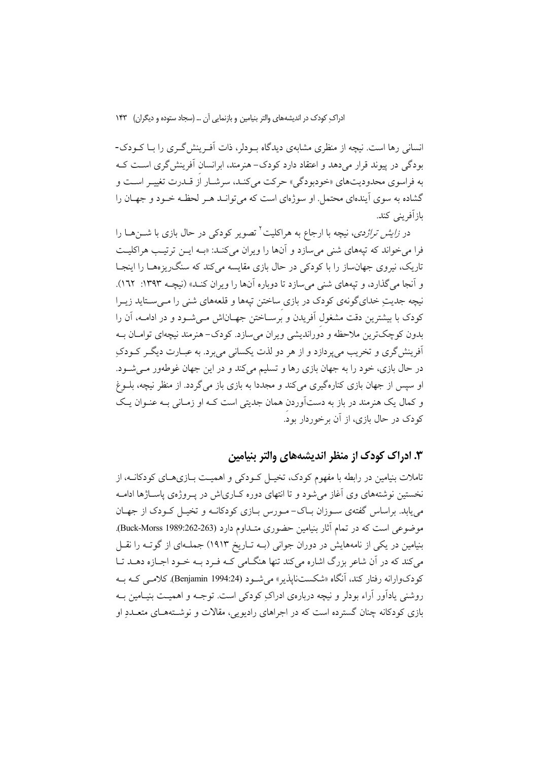انسانی رها است. نیچه از منظری مشابهی دیدگاه بودلر، ذات آف پنش گری را بـا کـودک-بودگی در پیوند قرار میدهد و اعتقاد دارد کودک-هنرمند، ابرانسان آفرینش گری است کـه به فراسوي محدوديتهاي «خودبودگي» حركت مي كنـد، سرشـار از قـدرت تغييـر اسـت و گشاده به سوی آیندهای محتمل او سوژهای است که می توانید هیر لحظه خیود و جهیان را باز آفر پنے کند.

در *زایش تراژدی*، نیچه با ارجاع به هراکلیت<sup>۲</sup> تصویر کودکی در حال بازی با شــنهــا را فرا می خواند که تپههای شنی می سازد و آنها را ویران می کنـد: «بـه ایــن ترتیـب هراکلیـت تاریک، نیروی جهانساز را با کودکی در حال بازی مقایسه میکند که سنگ ریزههـا را اینجـا و آنجا می گذارد، و تیههای شنی می سازد تا دوباره آنها را ویران کنـد» (نیچـه ۱۳۹۳: ۱٦۲). نیچه جدیتِ خدایگونهی کودک در بازی ساختن تپهها و قلعههای شن<sub>ی</sub> را مــیسـتاید زیــرا کودک با بیشترین دقت مشغول آفریدن و برسـاختن جهـاناش مـیشـود و در ادامــه، آن را بدون کوچکترین ملاحظه و دُوراندیشی ویران میسازد. کودک–هنرمند نیچهای توامــان بــه آفرینش گری و تخریب می پردازد و از هر دو لذت یکسانی می برد. به عبــارت دیگــر کــودکِ در حال بازی، خود را به جهان بازی رها و تسلیم میکند و در این جهان غوطهور مـیشــود. او سپس از جهان بازی کنارهگیری میکند و مجددا به بازی باز میگردد. از منظر نیچه، بلـوغ و کمال یک هنرمند در باز به دستآوردن همان جدیتی است کـه او زمـانی بـه عنـوان یـک کودک در حال بازی، از آن برخوردار بود.

### ۳. ادراک کودک از منظر اندیشههای والتر بنیامین

تاملات بنیامین در رابطه با مفهوم کودک، تخیـل کــودکی و اهـمیــت بــازیِهــای کودکانــه، از نخستین نوشتههای وی آغاز می شود و تا انتهای دوره کیاری اش در پیروژهی پاسپاژها ادامیه می یابد. براساس گفتهی سـوزان بـاک- مـورس بـازی کودکانــه و تخیــل کــودک از جهــان موضوعی است که در تمام آثار بنیامین حضوری متـداوم دارد (263-262:Buck-Morss 1989). بنیامین در یکی از نامههایش در دوران جوانی (بـه تـاریخ ۱۹۱۳) جملـهای از گوتـه را نقـل می کند که در آن شاعر بزرگ اشاره می کند تنها هنگـامی کـه فـرد بـه خـود اجـازه دهــد تــا كودكوارانه رفتار كند، آنگاه «شكستنايذير» مي شـود (Benjamin 1994:24). كلامـي كـه بـه روشنی پادآور آراء بودلر و نبچه دربارهی ادراک کودکی است. توجــه و اهمیــت بنیــامین بــه بازی کودکانه چنان گسترده است که در اجراهای رادیویی، مقالات و نوشـتههـای متعــدد او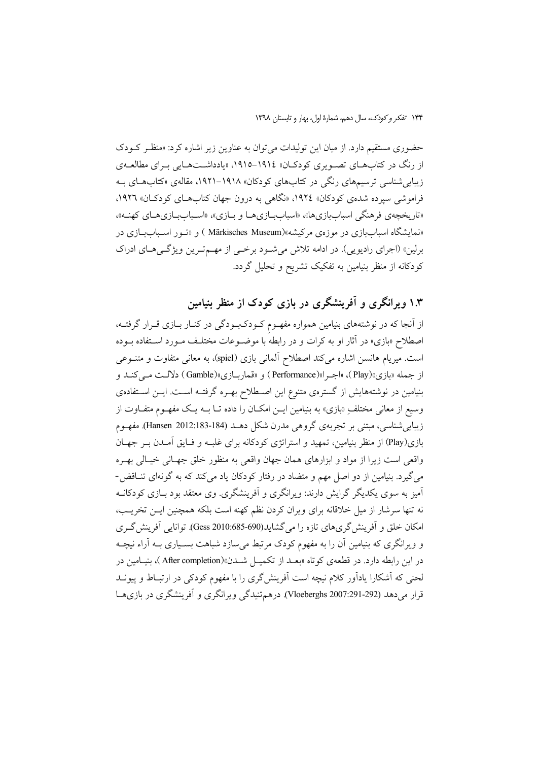حضوری مستقیم دارد. از میان این تولیدات می توان به عناوین زیر اشاره کرد: «منظر کـودک از رنگ در کتابهای تصویری کودکان» ۱۹۱٤–۱۹۱۵، «یادداشتهایی بـرای مطالعـهی زیبایی شناسی ترسیمهای رنگی در کتابهای کودکان» ۱۹۱۸–۱۹۲۱، مقالهی «کتابهای بـه فراموشی سیرده شدهی کودکان» ۱۹۲٤، «نگاهی به درون جهان کتابهـای کودکـان» ۱۹۲٦. «تاریخچهی فرهنگی اسباببازیها»، «اسباببازیهـا و بـازی»، «اسـباببـازیهـای کهنـه»، «نمایشگاه اسباببازی در موزهی مرکیشه»(Märkisches Museum ) و «تـور اسـباببازی در برلین» (اجرای رادیویی). در ادامه تلاش می شود برخی از مهم ترین ویژگی های ادراک کودکانه از منظر بنیامین به تفکیک تشریح و تحلیل گردد.

## ۱.۳ ویرانگری و آفرینشگری در بازی کودک از منظر بنیامین

از آنجا که در نوشتههای بنیامین همواره مفهـوم کـودکبـودگی در کنـار بــازی قــرار گرفتــه، اصطلاح «بازی» در آثار او به کرات و در رابطه با موضـوعات مختلـف مـورد اسـتفاده بـوده است. میریام هانسن اشاره میکند اصطلاح آلمانی بازی (spiel)، به معانی متفاوت و متنوعی از جمله «بازي»(Play)، «اجـرا»(Performance) و «قماربـازي»(Gamble) دلالـت مـي كنـد و بنیامین در نوشتههایش از گسترهی متنوع این اصطلاح بهـره گرفتـه اسـت. ایــن اسـتفادهی وسیع از معانی مختلفِ «بازی» به بنیامین ایــن امکــان را داده تــا بــه یــک مفهــوم متفــاوت از زیبایی شناسی، مبتنی بر تجربهی گروهی مدرن شکل دهـد (184-183:182 Hansen). مفهـوم بازی(Play) از منظر بنیامین، تمهید و استراتژی کودکانه برای غلبـه و فـایق آمـدن بـر جهـان واقعي است زيرا از مواد و ابزارهاي همان جهان واقعي به منظور خلق جهـاني خيـالي بهـره می گیرد. بنیامین از دو اصل مهم و متضاد در رفتار کودکان یاد می کند که به گونهای تنــاقض-آمیز به سوی یکدیگر گرایش دارند: ویرانگری و اَفرینشگری. وی معتقد بود بــازی کودکانــه نه تنها سرشار از میل خلاقانه برای ویران کردن نظم کهنه است بلکه همچنین ایــن تخریــب، امکان خلق و اَفرینش گریهای تازه را می گشاید(690-685:2010 Gess). توانایی اَفرینش گـری و ویرانگری که بنیامین آن را به مفهوم کودک مرتبط می سازد شباهت بسـیاری بــه آراء نیچــه در این رابطه دارد. در قطعهی کوتاه «بعــد از تکمیــل شــدن»(After completion)، بنیــامین در لحنی که آشکارا یادآور کلام نیچه است آفرینش گری را با مفهوم کودکی در ارتبـاط و پیونــد قرار میدهد (Vloeberghs 2007:291-292). درهم تنیدگی ویرانگری و آفرینشگری در بازی هـا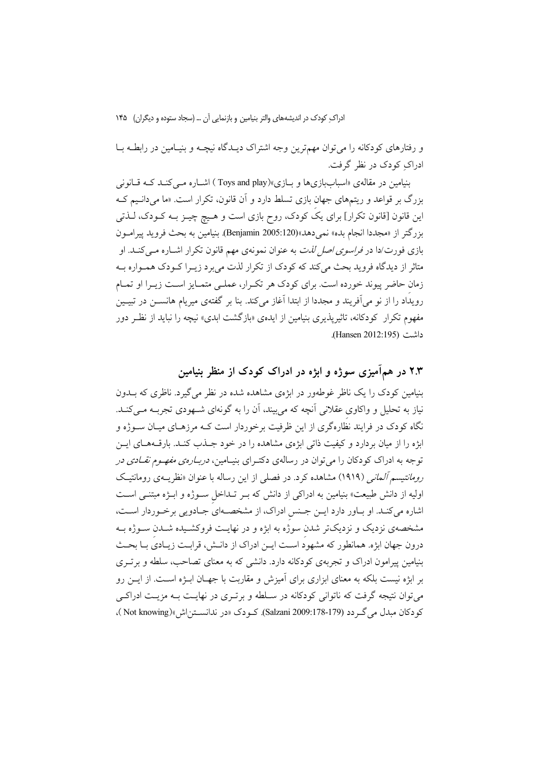و رفتارهای کودکانه را میتوان مهمترین وجه اشتراک دیـدگاه نیچــه و بنیـامین در رابطــه بــا ادراک کو دک در نظر گرفت.

بنیامین در مقالهی «اسبابازیها و بـازی»(Toys and play) اشــاره مــی کنــد کــه قــانونی بزرگ بر قواعد و ریتمهای جهان بازی تسلط دارد و آن قانون، تکرار است. «ما می دانیم ک این قانون [قانون تکرار] برای یکَ کودک، روح بازی است و هـیچ چیــز بــه کــودک، لــذتی بزرگتر از «مجددا انجام بده» نمیدهد»(Benjamin 2005:120). بنیامین به بحث فروید پیر امـون بازی فورت/دا در *فراسوی اصل لذت* به عنوان نمونهی مهم قانون تکرار اشـاره مـی کنــد. او متاثر از دیدگاه فروید بحث میکند که کودک از تکرار لذت می برد زیــرا کــودک همــواره بــه زمان حاضر پیوند خورده است. برای کودک هر تکـرار، عملـی متمـایز اسـت زیـرا او تمـام رويداد را از نو مي آفريند و مجددا از ابتدا آغاز مي كند. بنا بر گفتهي ميريام هانســن در تبيــين مفهوم تکرار کودکانه، تاثیریذیری بنیامین از ایدهی «بازگشت ابدی» نیچه را نباید از نظـر دور داشت (Hansen 2012:195).

### ۲.۳ در همآمیزی سوژه و ابژه در ادراک کودک از منظر بنیامین

بنیامین کودک را یک ناظر غوطهور در ابژهی مشاهده شده در نظر می گیرد. ناظری که بــدون نیاز به تحلیل و واکاوی عقلانی آنچه که میبیند، آن را به گونهای شـهودی تجربــه مــیکنــد. نگاه کودک در فرایند نظارهگری از این ظرفیت برخوردار است کـه مرزهـای میـان ســوژه و ابژه را از میان بردارد و کیفیت ذاتی ابژهی مشاهده را در خود جیذب کنید. بارقیههیای این توجه به ادراک کودکان را می توان در رسالهی دکتـرای بنیـامین، *دربـارهی مفهـوم نقـادی در* ر*ومانتیسم آلمانی (*۱۹۱۹) مشاهده کرد. در فصلی از این رساله با عنوان «نظریـهی رومانتیـک اولیه از دانش طبیعت» بنیامین به ادراکی از دانش که بـر تـداخل ســوژه و ابــژه مبتنــی اســت اشاره می کنـد. او بـاور دارد ايـن جـنس ادراک، از مشخصـهاي جـادويي برخـوردار اسـت، مشخصهی نزدیک و نزدیکتر شدن سوژه به ابژه و در نهایـت فروکشـیده شـدن ســوژه بــه درون جهان ابژه. همانطور كه مشهود است ايـن ادراك از دانـش، قرابـت زيـادي بـا بحـث بنیامین پیرامون ادراک و تجربهی کودکانه دارد. دانشی که به معنای تصاحب، سلطه و برتری بر ابژه نیست بلکه به معنای ابزاری برای آمیزش و مقاربت با جهــان ابــژه اســت. از ایــن رو می توان نتیجه گرفت که ناتوانی کودکانه در سـلطه و برتـری در نهایـت بـه مزیـت ادراکـی کو دکان مبدل می گے دد (179-178:3alzani 2009). کےو دک «در ندانستن اش»( Not knowing )،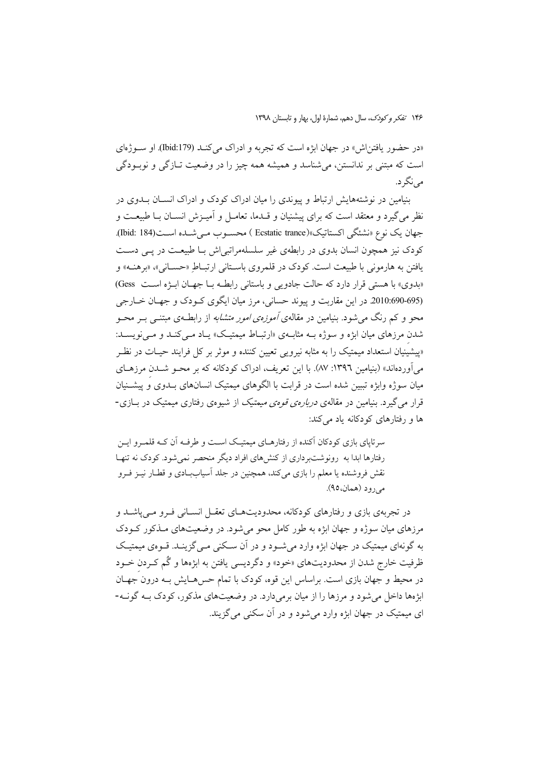«در حضور یافتناش» در جهان ابژه است که تجربه و ادراک می کنـد (179:Ibid) او سـو ژهای است که مبتنی بر ندانستن، می شناسد و همیشه همه چیز را در وضعیت تــازگی و نوبــودگی مي نگر د.

بنیامین در نوشتههایش ارتباط و پیوندی را میان ادراک کودک و ادراک انسپان پیدوی در نظر میگیرد و معتقد است که برای پیشنیان و قــدما، تعامــل و آمیــزش انســان بــا طبیعــت و جهان يك نوع «نشئگي اكستاتيك»(Ecstatic trance ) محسـوب مـي شـده اسـت(184 :Jbid). کودک نیز همچون انسان بدوی در رابطهی غیر سلسلهمراتبی اش بـا طبیعـت در یــی دسـت یافتن به هارمونی با طبیعت است. کودک در قلمروی باستانی ارتباطِ «حسـانی»، «برهنـه» و «بدوی» با هستی قرار دارد که حالت جادویی و باستانی رابطـه بـا جهـان ابـژه اسـت Gess) (695-690)2010. در این مقاربت و پیوند حسانی، مرز میان ایگوی کـودک و جهـان خـارجی محو و کم رنگ می شود. بنیامین در مقالهی *آموزهی امور متشابه* از رابطـهی مبتنــی بــر محــو شدن مرزهای میان ابژه و سوژه بـه مثابـهی «ارتبـاط میمتیـک» یـاد مـی کنـد و مـی نویسـد: «پیشینیان استعداد میمتیک را به مثابه نیروی<sub>ج</sub> تعیین کننده و موثر بر کل فرایند حیـات در نظـر میآوردهاند» (بنیامین ۱۳۹۲: ۸۷). با این تعریف، ادراک کودکانه که بر محـو شــدن مرزهـای میان سوژه وابژه تببین شده است در قرابت با الگوهای میمتیک انسانهای بـدوی و پیشــنیان قرار می گیرد. بنیامین در مقالهی *دربارهی قومی میمتیک* از شیوهی رفتاری میمتیک در بــازی-ها و رفتارهای کودکانه یاد میکند:

سرتایای بازی کودکان آکنده از رفتارهـای میمتیـک اسـت و طرفـه آن کـه قلمـرو ایـن رفتارها ابدا به رونوشتبرداری از کنشهای افراد دیگر منحصر نمیشود. کودک نه تنهـا نقش فروشنده یا معلم را بازی میکند، همچنین در جلد آسیاببادی و قطـار نیــز فــرو مي رود (همان،٩٥).

در تجربهی بازی و رفتارهای کودکانه، محدودیتهـای تعقـل انسـانی فـرو مـی،یاشــد و مرزهای مبان سوژه و جهان ایژه به طور کامل محو می شود. در وضعیتهای ملذکور کـودک به گونهای میمتیک در جهان ایژه وارد می شـود و در آن سـکنی مـی گزینـد. قـوهی میمتیـک ظرفيت خارج شدن از محدوديتهاي «خود» و دگرديسي يافتن به ابژهها و گُم كـردن خـود در محیط و جهان بازی است. براساس این قوه، کودک با تمام حس هـایش بـه درون جهـان ابژهها داخل می شود و مرزها را از میان برمی دارد. در وضعیتهای مذکور، کودک بـه گونـه-ای میمتیک در جهان ابژه وارد می شود و در آن سکنی می گزیند.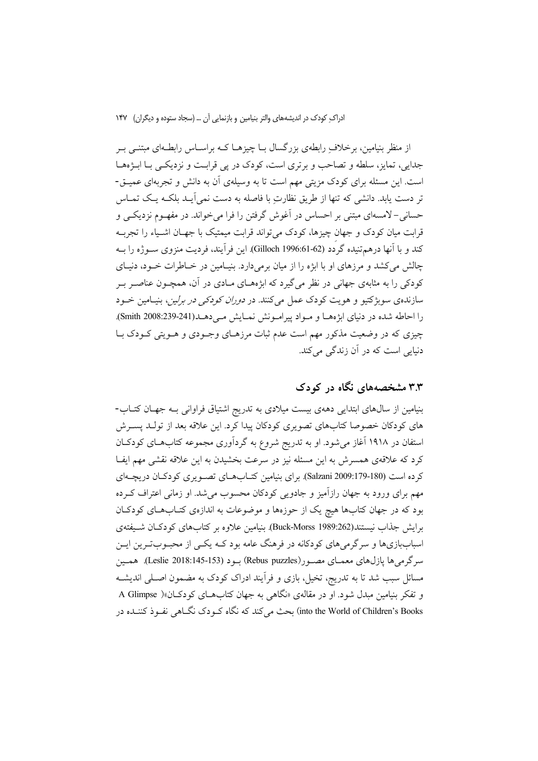از منظر بنیامین، برخلاف ِ رابطهی بزرگسال بــا چیزهــا کــه براســاس رابطــهای مبتنــی بــر جدایی، تمایز، سلطه و تصاحب و بر تری است، کودک در پی قرابـت و نزدیکـی بـا ابـژههـا است. این مسئله برای کودک مزیتی مهم است تا به وسیلهی آن به دانش و تجربهای عمیــق-تر دست یابد. دانشی که تنها از طریق نظارتِ با فاصله به دست نمی آیـد بلکـه یـک تمـاس حسانی-لامسهای مبتنی بر احساس در آغوش گرفتن را فرا می خواند. در مفهـوم نزدیکـی و قرابت میان کودک و جهان چیزها، کودک میتواند قرابت میمتیک با جهــان اشــیاء را تجربــه كند و با أنها درهم تنيده گردد (Gilloch 1996:61-62). اين فرأيند، فرديت منزوي ســوژه را بــه چالش می کشد و مرزهای او با ابژه را از میان برمیدارد. بنیـامین در خـاطرات خـود، دنیـای کودکی را به مثابهی جهانی در نظر میگیرد که ابژههـای مـادی در آن، همچـون عناصـر بـر سازندهی سوبژکتیو و هویت کودک عمل میکنند. در *دوران کودکی در برلین*، بنیـامین خــود را احاطه شده در دنیای ابژههـا و مـواد پیرامـونش نمـایش مـیدهـد(Smith 2008:239-241). چیزی که در وضعیت مذکور مهم است عدم ثبات مرزهـای وجـودی و هـویتی کـودک بـا دنیایی است که در آن زندگی می کند.

### ۳.۳ مشخصههای نگاه در کودک

بنیامین از سالهای ابتدایی دههی بیست میلادی به تدریج اشتیاق فراوانی بـه جهـان کتـاب-های کودکان خصوصا کتابهای تصویری کودکان پیدا کرد. این علاقه بعد از تولـد پســرش استفان در ۱۹۱۸ آغاز می شود. او به تدریج شروع به گردآوری مجموعه کتابهای کودکان کرد که علاقهی همسرش به این مسئله نیز در سرعت بخشیدن به این علاقه نقشی مهم ایفـا کرده است (Salzani 2009:179-180). برای بنیامین کتـابهـای تصـویری کودکـان دریچـهای مهم برای ورود به جهان رازآمیز و جادویی کودکان محسوب می شد. او زمانی اعتراف کـرده بود که در جهان کتابها هیچ یک از حوزهها و موضوعات به اندازهی کتــابهــای کودکــان برایش جذاب نیستند(Buck-Morss 1989:262). بنیامین علاوه بر کتابهای کودکان شـیفتهی اسباببازیها و سرگرمیهای کودکانه در فرهنگ عامه بود کـه یکـی از محبـوبتـرین ایـن سرگرمي ها يازل،هاي معمــاي مصــور(Rebus puzzles) بــود (Leslie 2018:145-153). همـين مسائل سبب شد تا به تدریج، تخیل، بازی و فرآیند ادراک کودک به مضمون اصـلی اندیشــه و تفکر بنیامین مبدل شود. او در مقالهی «نگاهی به جهان کتابهای کودکان»( A Glimpse into the World of Children's Books) بحث می کند که نگاه کـودک نگــاهی نفـوذ کننــده در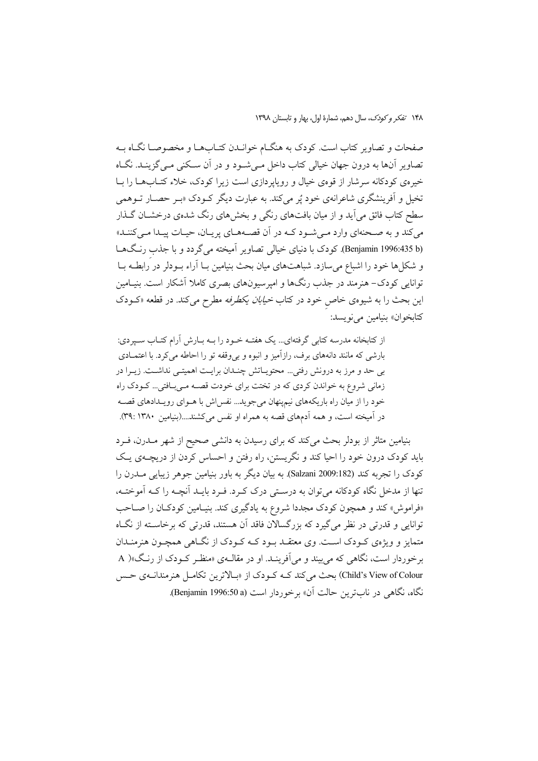١۴٨ تفكر وكودك، سال دهم، شمارة اول، بهار و تابستان ١٣٩٨

صفحات و تصاویر کتاب است. کودک به هنگــام خوانــدن کتــابهــا و مخصوصــا نگــاه بــه تصاویر آنها به درون جهان خیالی کتاب داخل مـی شـود و در آن سـکنی مـی گزینـد. نگـاه خیرهی کودکانه سرشار از قوهی خیال و رویاپردازی است زیرا کودک، خلاء کتــابهــا را بــا تخیل و اَفرینشگری شاعرانهی خود پُر میکند. به عبارت دیگر کــودک «بــر حصــار تــوهمی سطح کتاب فائق می آید و از میان بافتهای رنگی و بخشهای رنگ شدهی درخشــان گــذار می کند و به صـحنهای وارد مـی شـود کـه در آن قصـههـای پریـان، حیـات پیـدا مـی کننـد» (Benjamin 1996:435 b). کودک با دنیای خیالی تصاویر آمیخته می گردد و با جذب رنگهـا و شکلها خود را اشباع میسازد. شباهتهای میان بحث بنیامین بــا آراء بــودلر در َرابطــه بــا توانایی کودک- هنرمند در جذب رنگها و امپرسیونهای بصری کاملا آشکار است. بنیـامین این بحث را به شیوهی خاص خود در کتاب *خیابان یکطرفه* مطرح میکند. در قطعه «کــودک كتابخوان» بنيامين مي نويسد:

از کتابخانه مدرسه کتابی گرفتهای... یک هفتـه خـود را بـه بـارش آرام کتـاب سـیردی: بارشی که مانند دانههای برف، رازآمیز و انبوه و بی وقفه تو را احاطه می کرد. با اعتمـادی بی حد و مرز به درونش رفتی... محتویـاتش چنـدان برایـت اهمیتـی نداشـت. زیـرا در زمانی شروع به خواندن کردی که در تختت برای خودت قصـه مـیبافتی... کـودک راه خود را از میان راه باریکههای نیمپنهان می جوید... نفس اش با هـوای رویـدادهای قصـه در آمیخته است، و همه آدمهای قصه به همراه او نفس میکشند....(بنیامین ۱۳۸۰: ۳۹:).

بنیامین متاثر از بودلر بحث میکند که برای رسیدن به دانشی صحیح از شهر مــدرن، فــرد باید کودک درون خود را احیا کند و نگریستن، راه رفتن و احساس کردن از دریچــهی یـک کودک را تجربه کند (Salzani 2009:182). به بیان دیگر به باور بنیامین جوهر زیبایی مــدرن را تنها از مدخل نگاه کودکانه میتوان به درستی درک کـرد. فـرد بایـد آنچـه را کـه آموختـه، «فراموش» کند و همچون کودک مجددا شروع به یادگیری کند. بنیـامین کودکـان را صـاحب توانایی و قدرتی در نظر می گیرد که بزرگسالان فاقد آن هستند، قدرتی که برخاسـته از نگـاه متمایز و ویژهی کـودک اسـت. وی معتقـد بـود کـه کـودک از نگــاهی همچــون هنرمنــدان برخوردار است، نگاهي که مي بيند و مي آفرينـد. او در مقالـهي «منظـر کـودک از رنـگ»( A Child's View of Colour) بحث می کند کـه کـودک از «بـالاترین تکامـل هنرمندانــهی حـس نگاه، نگاهی در نابترین حالت آن» برخوردار است (Benjamin 1996:50 a).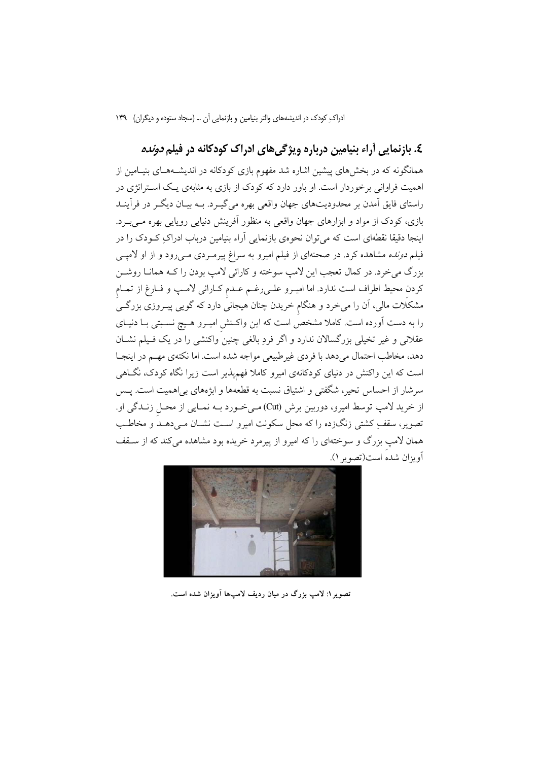### ٤. بازنمایی آراء بنیامین درباره ویژگیهای ادراک کودکانه در فیلم *دونده*

همانگونه که در بخشهای پیشین اشاره شد مفهوم بازی کودکانه در اندیشـههـای بنیـامین از اهمیت فراوانی برخوردار است. او باور دارد که کودک از بازی به مثابهی یـک اسـتراتژی در راستای فایق آمدن بر محدودیتهای جهان واقعی بهره می گیبرد. بـه بیـان دیگـر در فرآینـد بازی، کودک از مواد و ابزارهای جهان واقعی به منظور آفرینش دنیایی روپایی بهره مـی.بـرد. اینجا دقیقا نقطهای است که می توان نحومی بازنمایی اَراء بنیامین درباب ادراکِ کــودک را در فیلم *دونده* مشاهده کرد. در صحنهای از فیلم امیرو به سراغ پیرمـردی مـیرود و از او لامپــی بزرگ مي خرد. در كمال تعجب اين لامپ سوخته و كارائي لامپ بودن را كـه همانـا روشـن كردن محيط اطراف است ندارد. اما اميـرو علـىرغـم عـدم كـارائي لامـپ و فـارغ از تمـام مشکلات مالی، اَن را میخرد و هنگام خریدن چنان هیجانی دارد که گویبی پیــروزی بزرگــی را به دست آورده است. کاملا مشخصِّ است که این واکـنش امیــرو هــیچ نســبتی بــا دنیــای عقلانی و غیر تخیلی بزرگسالان ندارد و اگر فردِ بالغی چنین واکنشی را در یک فـیلم نشـان دهد، مخاطب احتمال میدهد با فردی غیرطبیعی مواجه شده است. اما نکتهی مهم در اینجـا است که این واکنش در دنیای کودکانهی امیرو کاملا فهمپذیر است زیرا نگاه کودک، نگــاهـی سرشار از احساس تحیر، شگفتی و اشتیاق نسبت به قطعهها و ابژههای بی|همیت است. پـس از خريد لامپ توسط اميرو، دوربين برش (Cut) مي خورد بـه نمـايي از محـل زنــدگي او. تصویر، سقفِ کشتی زنگزده را که محل سکونت امیرو اسـت نشـان مـیدهـد و مخاطـب همان لامپ بزرگ و سوختهای را که امیرو از پیرمرد خریده بود مشاهده میکند که از سـقف أويزان شده است(تصوير ١).



تصویر ۱: لامب بزرگ در میان ردیف لامپها آویزان شده است.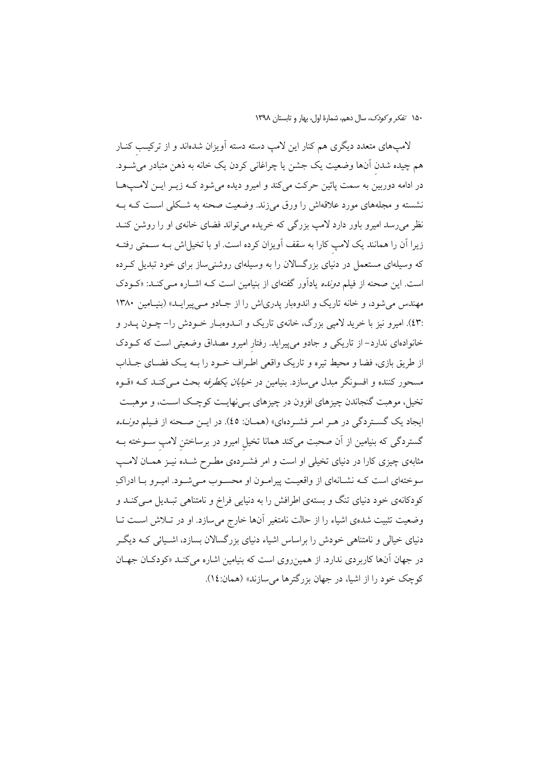لامپهای متعدد دیگری هم کنار این لامپ دسته دسته آویزان شدهاند و از ترکیب کنــار هم چیده شدن آنها وضعیت یک جشن یا چراغانی کردن یک خانه به ذهن متبادر میشــود. در ادامه دوربین به سمت پائین حرکت میکند و امیرو دیده میشود کـه زیـر ایـن لامـپهـا نشسته و مجلههای مورد علاقهاش را ورق میزند. وضعیت صحنه به شکلی است کـه بــه نظر میرسد امیرو باور دارد لامپ بزرگی که خریده میتواند فضای خانهی او را روشن کنــد زیرا آن را همانند یک لامپ کارا به سقف اَویزان کرده است. او با تخیل!ش بــه ســمتی رفتــه که وسیلهای مستعمل در دنیای بزرگسالان را به وسیلهای روشنیساز برای خود تبدیل کـرده است. این صحنه از فیلم *دونده* یادآور گفتهای از بنیامین است کــه اشــاره مــیکنــد: «کــودک مهندس می شود، و خانه تاریک و اندوهبار یدریاش را از جـادو مـی پیرایـد» (بنیـامین ۱۳۸۰ :٤٣). اميرو نيز با خريد لاميي بزرگ، خانهي تاريک و انــدوهبــار خــودش را– چــون يــدر و خانوادهای ندارد– از تاریکی و جادو میپیراید. رفتار امیرو مصداق وضعیتی است که کــودک از طریق بازی، فضا و محیط تیره و تاریک واقعی اطراف خـود را بـه یـک فضـای جـذاب مسحور کننده و افسونگر مبدل میسازد. بنیامین در *خیابان یکطرفه* بحث مــیکنــد کــه «قــوه تخیل، موهبت گنجاندن چیزهای افزون در چیزهای بـیiهایـت کوچـک اسـت، و موهبـت ایجاد یک گستردگی در هـر امـر فشـردهای» (همـان: ٤٥). در ایـن صـحنه از فـیلم *دونـل*ه گستردگی که بنیامین از آن صحبت میکند همانا تخیل امیرو در برساختن لامپ ســوخته بــه مثابهی چیزی کارا در دنیای تخیلی او است و امر فشـردهی مطـرح شـده نیــز همــان لامــب سوختهای است کـه نشـانهای از واقعیـت پیرامـون او محسـوب مـیشـود. امیـرو بـا ادراکِ کودکانهی خود دنیای تنگ و بستهی اطرافش را به دنیایی فراخ و نامتناهی تبـدیل مـیکنـد و وضعیت تثبیت شدهی اشیاء را از حالت نامتغیر آنها خارج میسازد. او در تـلاش اسـت تـا دنیای خیالی و نامتناهی خودش را براساس اشیاء دنیای بزرگسالان بسازد، اشـیائی کـه دیگـر در جهان آنها کاربردی ندارد. از همین روی است که بنیامین اشاره می کنـد «کودکـان جهـان کوچک خود را از اشیا، در جهان بزرگترها می سازند» (همان:١٤).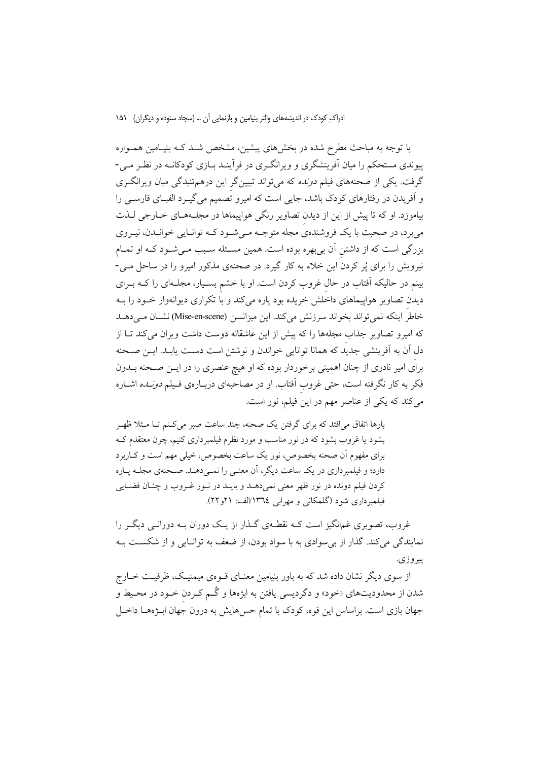با توجه به مباحث مطرح شده در بخشهای پیشین، مشخص شــد کــه بنیــامین همــواره پیوندی مستحکم را میان آفرینشگری و ویرانگـری در فرأینـد بــازی کودکانــه در نظـر مــی-گرفت. یکی از صحنههای فیلم *دونده* که می تواند تبیینگر این درهم تنیدگی میان ویرانگری و آفریدن در رفتارهای کودک باشد، جایی است که امیرو تصمیم می گیـرد الفبــای فارســی را بیاموزد. او که تا پیش از این از دیدن تصاویر رنگی هواپیماها در مجلـههـای خــارجی لــذت می برد، در صحبت با یک فروشندهی مجله متوجـه مـی شـود کـه توانـایی خوانـدن، نیـروی بزرگی است که از داشتن آن بی بهره بوده است. همین مسـئله سـبب مـیشـود کـه او تمـام نیرویش را برای یُر کردن این خلاء به کار گیرد. در صحنهی مذکور امیرو را در ساحل مــی-بینم در حالیکه آفتاب در حال غروب کردن است. او با خشم بسـیار، مجلـهای را کــه بــرای دیدن تصاویر هواپیماهای داخلش خریده بود پاره میکند و با تکراری دیوانهوار خـود را بـه خاطر اينكه نمي تواند بخواند سرزنش مي كند. اين ميزانسن (Mise-en-scene) نشان مي دهـد که امیرو تصاویر جذاب مجلهها را که پیش از این عاشقانه دوست داشت ویران می کند تـا از دل آن به آفرینشی جدید که همانا توانایی خواندن و نوشتن است دست یابـد. ایــن صــحنه برای امیر نادری از چنان اهمیتی برخوردار بوده که او هیچ عنصری را در ایــن صـحنه بــدون فکر به کار نگرفته است، حتی غروب آفتاب. او در مصاحبهای دربـارهی فـیلم *دونــاـه* اشــاره می کند که یکی از عناصر مهم در این فیلم، نور است.

بارها اتفاق می|فتد که برای گرفتن یک صحنه، چند ساعت صبر میکنم تـا مـثلا ظهـر بشود یا غروب بشود که در نور مناسب و مورد نظرم فیلمبرداری کنیم، چون معتقدم ک برای مفهوم آن صحنه بخصوص، نور یک ساعت بخصوص، خیلی مهم است و کـاربرد دارد؛ و فیلمبرداری در یک ساعت دیگر، آن معنبی را نمبیدهــد. صـحنهی مجلــه پــاره كردن فيلم دونده در نور ظهر معنى نمىدهـد و بايـد در نـور غـروب و چنـان فضـايي فیلمبرداری شود (گلمکانی و مهرایی ١٣٦٤/الف: ٢١و ٢٢).

غروب، تصویری غمانگیز است کـه نقطـهی گــذار از یــک دوران بــه دورانــی دیگــر را نمایندگی می کند. گذار از بی سوادی به با سواد بودن، از ضعف به توانیایی و از شکست بـه پير وزي.

از سوی دیگر نشان داده شد که به باور بنیامین معنـای قــوهی میمتیـک، ظرفیـت خــارج شدن از محدودیتهای «خود» و دگردیسی یافتن به ابژهها و گُـم کـردن خـود در محـیط و جهان بازی است. براساس این قوه، کودک با تمام حسهایش به درون جهان ابـژههـا داخـل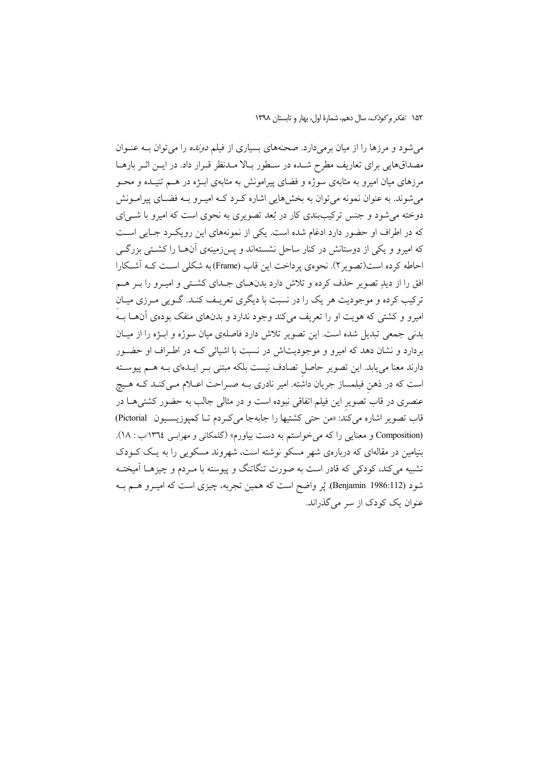میشود و مرزها را از میان برمیدارد. صحنههای بسیاری از فیلم *دونده* را میتوان بــه عنــوان مصداقهایی برای تعاریف مطرح شـده در سـطور بـالا مـدنظر قـرار داد. در ايـن اثـر بارهـا مرزهای میان امیرو به مثابهی سوژه و فضای پیرامونش به مثابهی ابـژه در هــم تنیـده و محــو می شوند. به عنوان نمونه می توان به بخشهایی اشاره کـرد کـه امیـرو بـه فضـای پیرامـونش دوخته می شود و جنس ترکیببندی کار در بُعد تصویری به نحوی است که امیرو با شــی|ی كه در اطراف او حضور دارد ادغام شده است. يكي از نمونههاي اين رويكرد جـايي اسـت که امیرو و یکی از دوستانش در کنار ساحل نشستهاند و پسزمینهی آنهـا را کشـتی بزرگـی احاطه كرده است(تصوير ٢). نحوهي يرداخت اين قاب (Frame) به شكلي است كـه آشـكارا افق را از دیدِ تصویر حذف کرده و تلاش دارد بدنهـای جـدای کشـتی و امیـرو را بـر هـم ترکیب کرده و موجودیت هر یک را در نسبت با دیگری تعریـف کنـد. گـویی مـرزی میـان امیرو و کشتی که هویت او را تعریف میکند وجود ندارد و بدنهای منفک بودهی آنهـا بــه بدنی جمعی تبدیل شده است. این تصویر تلاش دارد فاصلهی میان سوژه و ابـژه را از میـان بردارد و نشان دهد که امیرو و موجودیتاش در نسبت با اشیائی کـه در اطـراف او حضـور دارند معنا می یابد. این تصویر حاصل تصادف نیست بلکه مبتنی بـر ایــدهای بــه هــم پیوســته است که در ذهن فیلمساز جریان داشته. امیر نادری بـه صـراحت اعـلام مـیکنـد کـه هـیچ عنصری در قاب تصویر این فیلم اتفاقی نبوده است و در مثالی جالب به حضور کشتیهـا در قاب تصوير اشاره مي كند: «من حتى كشتيها را جابهجا مي كـردم تـا كمپوزيسـيون Pictorial) (Composition و معنایی را که می خواستم به دست بیاورم» (گلمکانی و مهراسی ١٣٦٤/ب: ١٨). بنیامین در مقالهای که دربارهی شهر مسکو نوشته است، شهروند مسکویی را به یک کـودک تشبیه می کند، کودکی که قادر است به صورت تنگاتنگ و پیوسته با مـردم و چیزهــا آمیختــه شود (Benjamin 1986:112). پُر واضح است که همین تجربه، چیزی است که امیـرو هــم بــه عنوان یک کودک از سر میگذراند.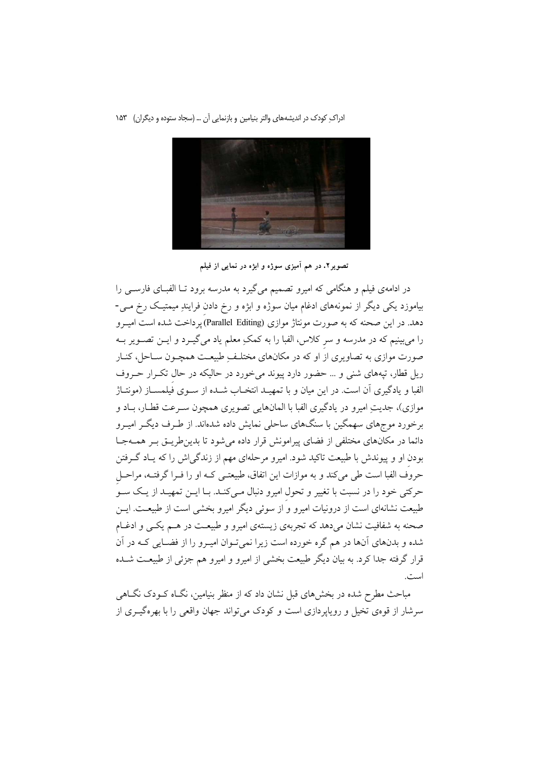

تصویر۲. در هم آمیزی سوژه و ابژه در نمایی از فیلم

در ادامهی فیلم و هنگامی که امیرو تصمیم میگیرد به مدرسه برود تـا الفبـای فارســی را بیاموزد یکی دیگر از نمونههای ادغام میان سوژه و ابژه و رخ دادن فرایندِ میمتیک رخ مـی-دهد. در این صحنه که به صورت مونتاژ موازی (Parallel Editing) یرداخت شده است امیـرو را میبینیم که در مدرسه و سر کلاس، الفبا را به کمکِ معلم یاد میگیـرد و ایــن تصــویر بــه صورت موازی به تصاویری از او که در مکانهای مختلف ِطبیعـت همچـون سـاحل، کنـار ریل قطار، تیههای شنی و … حضور دارد پیوند می خورد در حالیکه در حال تکـرار حـروف الفبا و يادگيري آن است. در اين ميان و با تمهيـد انتخـاب شـده از سـوى فيلمسـاز (مونتـاژ موازي)، جديتِ اميرو در يادگيري الفبا با المانهايي تصويري همچون سـرعت قطـار، بــاد و برخورد موجهای سهمگین با سنگهای ساحلی نمایش داده شدهاند. از طـرف دیگـر امیـرو دائما در مکانهای مختلفی از فضای پیرامونش قرار داده می شود تا بدین طریـق بـر همـهجـا بودن او و پیوندش با طبیعت تاکید شود. امیرو مرحلهای مهم از زندگیاش را که یـاد گــرفتن حروف الفبا است طی میکند و به موازات این اتفاق، طبیعتـی کـه او را فـرا گرفتـه، مراحـل حرکتی خود را در نسبت با تغییر و تحول امیرو دنبال مـیکنـد. بـا ایــن تمهیــد از یــک ســوّ طبیعت نشانهای است از درونیات امیرو و از سوئی دیگر امیرو بخشبی است از طبیعــت. ایــن صحنه به شفافیت نشان میدهد که تجربهی زیستهی امیرو و طبیعت در هـم یکـی و ادغـام شده و بدنهای آنها در هم گره خورده است زیرا نمیتوان امیرو را از فضـایی کـه در آن قرار گرفته جدا کرد. به بیان دیگر طبیعت بخشی از امیرو و امیرو هم جزئی از طبیعـت شــده است.

مباحث مطرح شده در بخشهای قبل نشان داد که از منظر بنیامین، نگــاه کــودک نگــاهـی سرشار از قوهی تخیل و رویاپردازی است و کودک میتواند جهان واقعی را با بهرهگیـری از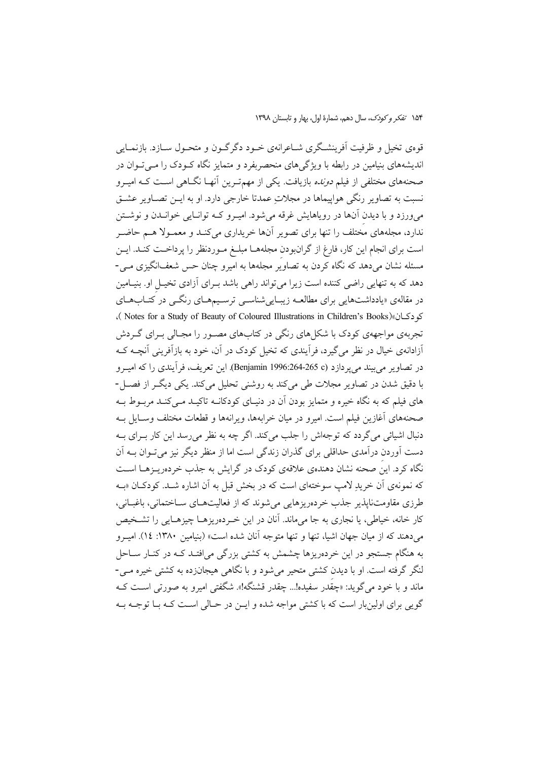۱۵۴ تفكر وكودك، سال دهم، شمارة اول، بهار و تابستان ١٣٩٨

قوهی تخیل و ظرفیت اَفرینشگری شـاعرانهی خـود دگرگـون و متحـول سـازد. بازنمـایی اندیشههای بنیامین در رابطه با ویژگی های منحصربفرد و متمایز نگاه کـودک را مـی تـوان در صحنههای مختلفی از فیلم *دونده* بازیافت. یکی از مهمتـرین آنهـا نگــاهی اسـت کــه امیــرو نسبت به تصاویر رنگی هواپیماها در مجلاتِ عمدتا خارجی دارد. او به ایــن تصــاویر عشــق می ورزد و با دیدن آنها در رویاهایش غرقه می شود. امیـرو کـه توانـایی خوانــدن و نوشــتن ندارد، مجلههای مختلف را تنها برای تصویر آنها خریداری می کنـد و معمـولا هــم حاضـر است برای انجام این کار، فارغ از گرانبودن مجلههـا مبلـغ مـوردنظر را پرداخـت کنـد. ایــن مسئله نشان میٖدهد که نگاه کردن به تصاویُر مجلهها به امیرو چنان حس شعفانگیزی مــی-دهد که به تنهایی راضی کننده است زیرا میتواند راهی باشد بـرای آزادی تخیـل او. بنیـامین در مقالهی «یادداشتهایی برای مطالعـه زیبـاییشناسـی ترسـیمهـای رنگــی در کتــابـهـای كودكان»( Notes for a Study of Beauty of Coloured Illustrations in Children's Books). تجربهی مواجههی کودک با شکل های رنگی در کتابهای مصـور را مجـالی بـرای گـردش آزادانهی خیال در نظر می گیرد، فرأیندی که تخیل کودک در آن، خود به بازآفرینی آنچــه کــه در تصاوير مي بيند مي يردازد (Benjamin 1996:264-265 c). اين تعريف، فرآيندي را كه اميـرو با دقیق شدن در تصاویر مجلات طی میکند به روشنی تحلیل میکند. یکی دیگ از فصل-های فیلم که به نگاه خیره و متمایز بودن آن در دنیـای کودکانــه تاکیــد مــی کنــد مربــوط بــه صحنههای آغازین فیلم است. امیرو در میان خرابهها، ویرانهها و قطعات مختلف وسـایل بــه دنبال اشیائی می گردد که توجهاش را جلب می کند. اگر چه به نظر می رسد این کار بـرای بـه دست آوردن درآمدی حداقلی برای گذران زندگی است اما از منظر دیگر نیز می تـوان بــه آن نگاه کرد. این صحنه نشان دهندهی علاقهی کودک در گرایش به جذب خردهریـزهـا اسـت که نمونهی آن خریدِ لامپ سوختهای است که در بخش قبل به آن اشاره شـد. کودکـان «بـه طرزي مقاومتنايذير جذب خردهريزهايي مي شوند كه از فعاليتهــاي ســاختماني، باغبــاني، کار خانه، خیاطی، یا نجاری به جا می۵ماند. آنان در این خـردهریزهـا چیزهـایی را تشـخیص می دهند که از میان جهان اشیا، تنها و تنها متوجه آنان شده است» (بنیامین ۱۳۸۰: ۱٤). امیـرو به هنگام جستجو در این خردهریزها چشمش به کشتی بزرگی میافتـد کـه در کنـار سـاحل لنگر گرفته است. او با دیدن کشتی متحیر میشود و با نگاهی هیجانزده به کشتی خیره مـی-ماند و با خود مي گويد: «چقدر سفيده!... چقدر قشنگه!». شگفتي اميرو به صورتي اسـت كــه گویی برای اولینبار است که با کشتی مواجه شده و ایـن در حـالی اسـت کـه بــا توجــه بــه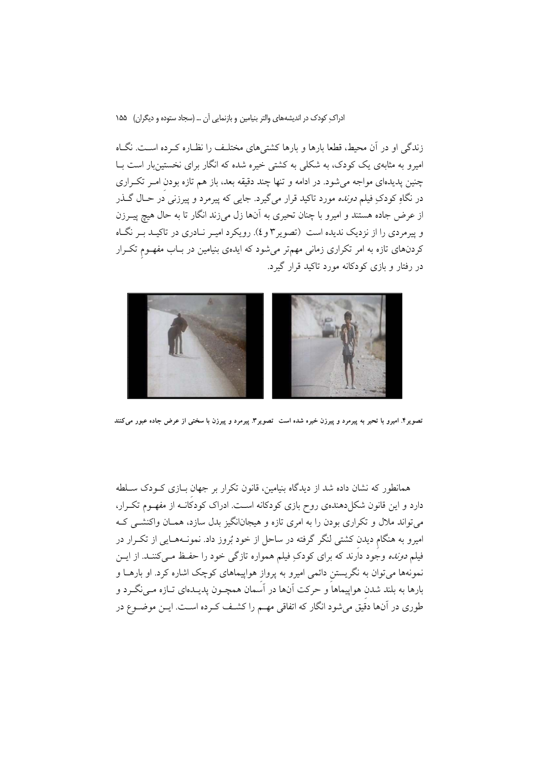زندگی او در آن محیط، قطعا بارها و بارها کشتیهای مختلـف را نظـاره کـرده اسـت. نگـاه امیرو به مثابهی یک کودک، به شکلی به کشتی خیره شده که انگار برای نخستینبار است بـا چنین پدیدهای مواجه می شود. در ادامه و تنها چند دقیقه بعد، باز هم تازه بودن امـر تکـراری در نگاهِ کودکِ فیلم *دونده* مورد تاکید قرار می گیرد. جایی که پیرمرد و پیرزنی در حــال گــذر از عرض جاده هستند و امیرو با چنان تحیری به آنها زل میزند انگار تا به حال هیچ پیــرزن و پیرمردی را از نزدیک ندیده است (تصویر ۳ و ٤). رویکرد امیـر نـادری در تاکیـد بـر نگـاه کردنهای تازه به امر تکراری زمانی مهمتر میشود که ایدهی بنیامین در بـاب مفهـوم تکـرار در رفتار و بازی کودکانه مورد تاکید قرار گیرد.



تصویر۴. امیرو با تحیر به پیرمرد و پیرزن خیره شده است ً تصویر۴. پیرمرد و پیرزن با سختی از عرض جاده عبور میکنند

همانطور که نشان داده شد از دیدگاه بنیامین، قانون تکرار بر جهان بــازی کــودک ســلطه دارد و این قانون شکل(دهندهی روح بازی کودکانه است. ادراک کودکانــه از مفهــوم تکــرار، میتواند ملال و تکراری بودن را به امری تازه و هیجانانگیز بدل سازد، همـان واکنشــی کــه امیرو به هنگام دیدن کشتی لنگر گرفته در ساحل از خود بُروز داد. نمونـههـایی از تکـرار در فیلم *دونده* وجود دارند که برای کودکِ فیلم همواره تازگی خود را حفـظ مـیکننـد. از ایــن نمونهها میتوان به نگریستن دائمی امیرو به پرواز هواپیماهای کوچک اشاره کرد. او بارهــا و بارها به بلند شدن هواپیماهاً و حرکت آنها در آسَمان همچـون پدیــدهای تــازه مــیiگــرد و طوری در آنها دقیق میشود انگار که اتفاقی مهـم را کشـف کـرده اسـت. ایــن موضــوع در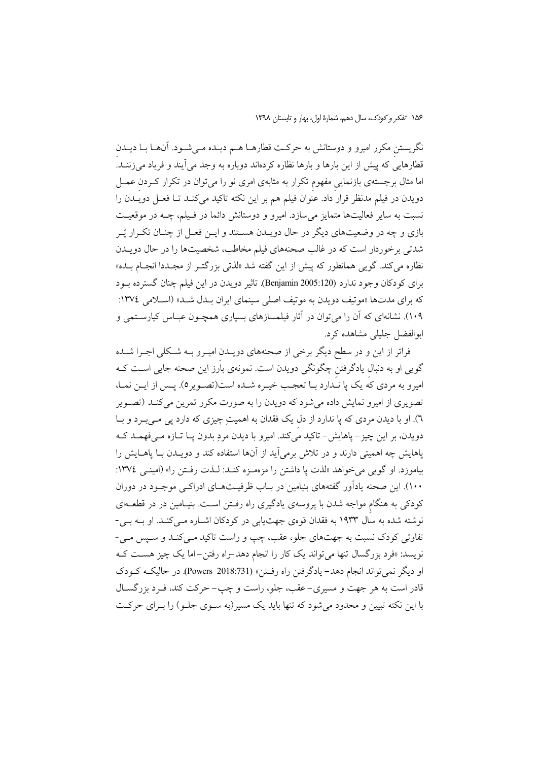نگریستن مکرر امیرو و دوستانش به حرکت قطارهــا هــم دیــده مــیشــود. آنهــا بــا دیــدن قطارهایی که پیش از این بارها و بارها نظاره کردهاند دوباره به وجد می آیند و فریاد می زننــد. اما مثال برجستهی بازنمایی مفهوم تکرار به مثابهی امری نو را می توان در تکرار کـردن عمــل دویدن در فیلم مدنظر قرار داد. عنوان فیلم هم بر این نکته تاکید میکند تا فعـل دویـدن را نسبت به سایر فعالیتها متمایز می سازد. امیرو و دوستانش دائما در فـیلم، چــه در موقعیــت بازی و چه در وضعیتهای دیگر در حال دویـدن هســتند و ایــن فعــل از چنــان تکــرار يُــر شدتی برخوردار است که در غالب صحنههای فیلم مخاطب، شخصیتها را در حال دویــدن نظاره میکند. گویبی همانطور که پیش از این گفته شد «لذتی بزرگتـر از مجـددا انجـام بــده» برای کودکان وجود ندارد (Benjamin 2005:120). تاثیر دویدن در این فیلم چنان گسترده بـود که برای مدتها «موتیف دویدن به موتیف اصلی سینمای ایران بـدل شـد» (اسـلامی ١٣٧٤: ۱۰۹). نشانهای که آن را می توان در آثار فیلمسازهای بسیاری همچـون عبـاس کیارسـتمی و ابوالفضل جليلي مشاهده كرد.

فراتر از این و در سطح دیگر برخی از صحنههای دویــدن امیــرو بــه شــکلی اجــرا شــده گویی او به دنبال یادگرفتن چگونگی دویدن است. نمونهی بارز این صحنه جایی اسـت کـه امیرو به مردی که یک پا نـدارد بـا تعجـب خیـره شـده است(تصـویر٥). پـس از ایــن نمـا، تصویری از امیرو نمایش داده می شود که دویدن را به صورت مکرر تمرین می کنـد (تصـویر ٦). او با دیدن مردی که پا ندارد از دل یک فقدان به اهمیتِ چیزی که دارد پی مـی.ِــرد و بــا دويدن، بر اين چيز – ياهايش- تاكيد مي كند. اميرو با ديدن مردِ بدون يــا تــازه مــي فهمــد كــه یاهایش چه اهمیتی دارند و در تلاش برمی آید از آنها استفاده کند و دویـدن بـا یاهــایش را بياموزد. او گويي مي خواهد «لذت يا داشتن را مزمه زه كنـد: لـذت رفـتن را» (امينـي ١٣٧٤: ۱۰۰). این صحنه یادآور گفتههای بنیامین در بـاب ظرفیــتهــای ادراکــی موجــود در دوران کودکی به هنگام مواجه شدن با پروسهی یادگیری راه رفـتن اسـت. بنیـامین در در قطعــهای نوشته شده به سال ۱۹۳۳ به فقدان قوهی جهتیابی در کودکان اشــاره مــیکنــد. او بــه بــی-تفاوتی کودک نسبت به جهتهای جلو، عقب، چپ و راست تاکید مـیکنـد و سـپس مـی-نویسد: «فرد بزرگسال تنها میتواند یک کار را انجام دهد-راه رفتن-اما یک چیز هست کـه او ديگر نمي تواند انجام دهد- يادگرفتن راه رفتن» (Powers 2018:731). در حاليکه کـودک قادر است به هر جهت و مسیری-عقب، جلو، راست و چپ- حرکت کند، فـرد بزرگســال با این نکته تبیین و محدود می شود که تنها باید یک مسیر(به سـوی جلـو) را بـرای حرکـت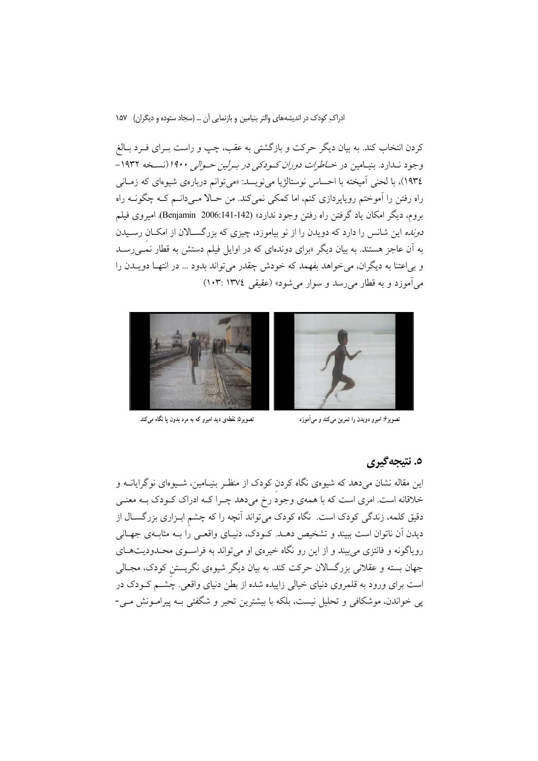کردن انتخاب کند. به بیان دیگر حرکت و بازگشتی به عقب، چپ و راست بـرای فـرد بـالغ وجود نــدارد. بنيــامين در *خــاطرات دوران كــودكي در بــرلين حــوالي ۱۹۰۰ (نس*ـخه ۱۹۳۲– ۱۹۳٤)، با لحنی آمیخته با احساس نوستالژیا میفویسد: «می توانم دربارهی شیوهای که زمـانی راه رفتن را اَموختم رویاپردازی کنم، اما کمکی نمیکند. من حـالا مـیدانـم کـه چگونـه راه بروم، ديگر امكان ياد گرفتن راه رفتن وجود ندارد» (142-141؛2006 Benjamin). اميروي فيلم *دونده* این شانس را دارد که دویدن را از نو بیاموزد، چیزی که بزرگسـالان از امکـان رسـیدن به آن عاجز هستند. به بیان دیگر «برای دوندهای که در اوایل فیلم دستش به قطار نم<sub>حی</sub>رسـد و بی اعتنا به دیگران، می خواهد بفهمد که خودش چقدر می تواند بدود … در انتهـا دویــدن را مي آموزد و به قطار مي رسد و سوار مي شود» (عقيقي ١٣٧٤ :١٠٣)



تصویر۵: نقطهی دید امیرو که به مرد بدون یا نگاه می کند



تصویر۶: امیرو دویدن را تمرین میکند و میآموزد

### ٥. نتيجەگىرى

این مقاله نشان میدهد که شیوهی نگاه کردن کودک از منظـر بنیـامین، شـیوهای نوگرایانــه و خلاقانه است. امری است که با همهی وجود رخ میدهد چـرا کــه ادراک کــودک بــه معنــی دقیق کلمه، زندگی کودک است. نگاه کودک میتواند آنچه را که چشم ابـزاری بزرگسـال از دیدن اَن ناتوان است ببیند و تشخیص دهــد. کــودک، دنیــای واقعــی را بــه مثابــهی جهــانی رویاگونه و فانتزی می بیند و از این رو نگاه خیرهی او می تواند به فراسـوی محـدودیتهـای جهان بسته و عقلانی بزرگسالان حرکت کند. به بیان دیگر شیوهی نگریستن کودک، مجـالی است برای ورود به قلمروی دنیای خیالی زاییده شده از بطن دنیای واقعی. چشم کـودک در پی خواندن، موشکافی و تحلیل نیست، بلکه با بیشترین تحیر و شگفتی بـه پیرامـونش مـی-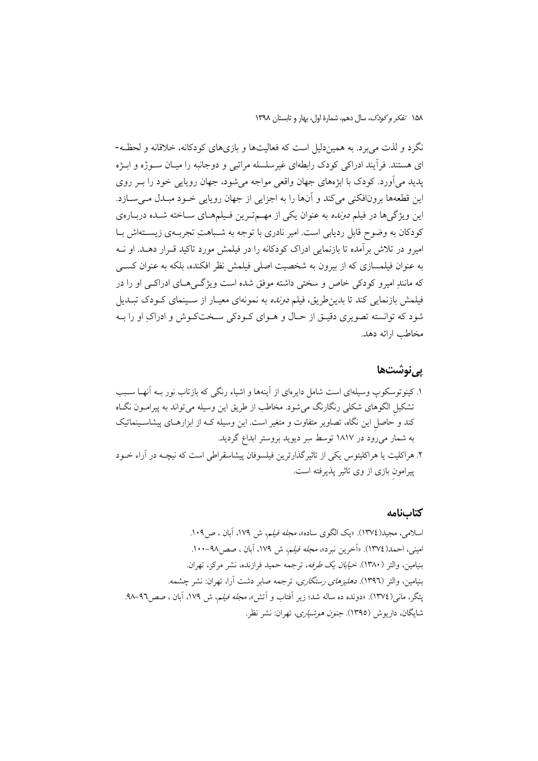نگرد و لذت می برد. به همیندلیل است که فعالیتها و بازیهای کودکانه، خلاقانه و لحظـه-ای هستند. فرأیند ادراکی کودک رابطهای غیرسلسله مراتبی و دوجانبه را میـان سـوژه و ابـژه یدید می آورد. کودک با ابژههای جهان واقعی مواجه می شود، جهان روپایی خود را بـر روی این قطعهها برونافکنی میکند و آنها را به اجزایی از جهان رویایی خـود مبـدل مـیسـازد. این ویژگیها در فیلم *دونده* به عنوان یکی از مهـمتـرین فـیلمهـای سـاخته شـده دربـارهی کودکان به وضوح قابل ردیابی است. امیر نادری با توجه به شـباهتِ تجربــهی زیســتهاش بــا امیرو در تلاش برآمده تا بازنمایی ادراک کودکانه را در فیلمش مورد تاکید قــرار دهــد. او نــه به عنوان فیلمسازی که از بیرون به شخصیت اصلی فیلمش نظر افکنده، بلکه به عنوان کســی که مانندِ امیرو کودکی خاص و سختی داشته موفق شده است ویژگےهای ادراکے او را در فیلمش بازنمایی کند تا بدینطریق، فیلم *دونده* به نمونهای معیـار از سـینمای کــودک تبــدیل شود که توانسته تصویری دقیـق از حـال و هــوای کــودکی ســختکــوش و ادراکِ او را بــه مخاطب ارائه دهد.

# پىنوشتھا

#### كتابنامه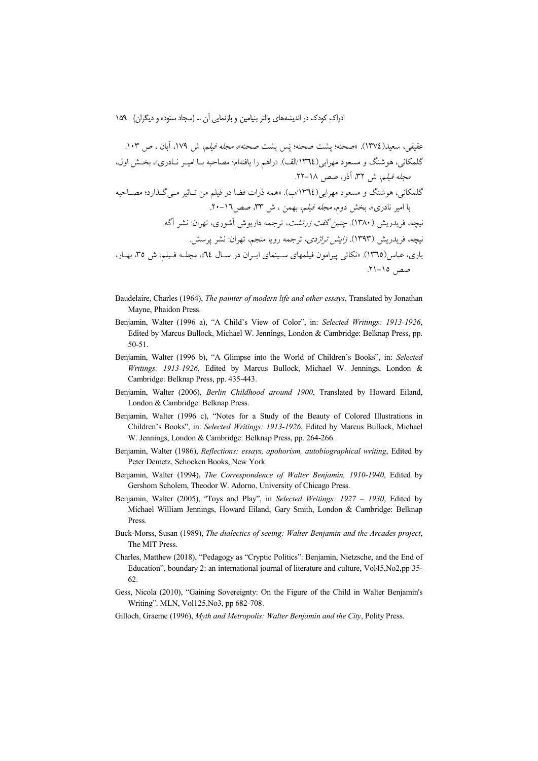- Baudelaire, Charles (1964), The painter of modern life and other essays, Translated by Jonathan Mayne, Phaidon Press.
- Benjamin, Walter (1996 a), "A Child's View of Color", in: Selected Writings: 1913-1926, Edited by Marcus Bullock, Michael W. Jennings, London & Cambridge: Belknap Press, pp.  $50 - 51$ .
- Benjamin, Walter (1996 b), "A Glimpse into the World of Children's Books", in: Selected Writings: 1913-1926, Edited by Marcus Bullock, Michael W. Jennings, London & Cambridge: Belknap Press, pp. 435-443.
- Benjamin, Walter (2006), Berlin Childhood around 1900, Translated by Howard Eiland, London & Cambridge: Belknap Press.
- Benjamin, Walter (1996 c), "Notes for a Study of the Beauty of Colored Illustrations in Children's Books", in: Selected Writings: 1913-1926, Edited by Marcus Bullock, Michael W. Jennings, London & Cambridge: Belknap Press, pp. 264-266.
- Benjamin, Walter (1986), Reflections: essays, apohorism, autobiographical writing, Edited by Peter Demetz, Schocken Books, New York
- Benjamin, Walter (1994), The Correspondence of Walter Benjamin, 1910-1940, Edited by Gershom Scholem, Theodor W. Adorno, University of Chicago Press.
- Benjamin, Walter (2005), "Toys and Play", in Selected Writings: 1927 1930, Edited by Michael William Jennings, Howard Eiland, Gary Smith, London & Cambridge: Belknap Press.
- Buck-Morss, Susan (1989), The dialectics of seeing: Walter Benjamin and the Arcades project, The MIT Press.
- Charles, Matthew (2018), "Pedagogy as "Cryptic Politics": Benjamin, Nietzsche, and the End of Education", boundary 2: an international journal of literature and culture, Vol45, No2, pp 35-62.
- Gess, Nicola (2010), "Gaining Sovereignty: On the Figure of the Child in Walter Benjamin's Writing". MLN, Vol125, No3, pp 682-708.
- Gilloch, Graeme (1996), Myth and Metropolis: Walter Benjamin and the City, Polity Press.